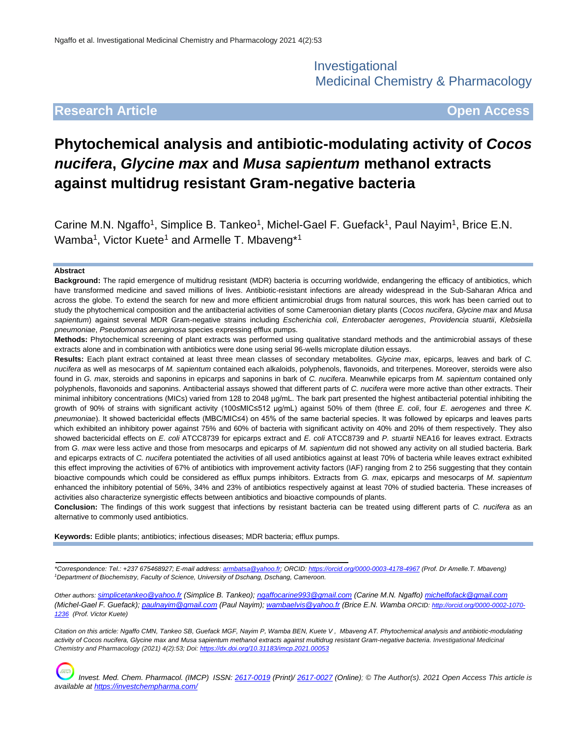Investigational Medicinal Chemistry & Pharmacology

## **Research Article Open Access**

# **Phytochemical analysis and antibiotic-modulating activity of** *Cocos nucifera***,** *Glycine max* **and** *Musa sapientum* **methanol extracts against multidrug resistant Gram-negative bacteria**

Carine M.N. Ngaffo<sup>1</sup>, Simplice B. Tankeo<sup>1</sup>, Michel-Gael F. Guefack<sup>1</sup>, Paul Nayim<sup>1</sup>, Brice E.N. Wamba<sup>1</sup>, Victor Kuete<sup>1</sup> and Armelle T. Mbaveng\*<sup>1</sup>

#### **Abstract**

**Background:** The rapid emergence of multidrug resistant (MDR) bacteria is occurring worldwide, endangering the efficacy of antibiotics, which have transformed medicine and saved millions of lives. Antibiotic-resistant infections are already widespread in the Sub-Saharan Africa and across the globe. To extend the search for new and more efficient antimicrobial drugs from natural sources, this work has been carried out to study the phytochemical composition and the antibacterial activities of some Cameroonian dietary plants (*Cocos nucifera*, *Glycine max* and *Musa sapientum*) against several MDR Gram-negative strains including *Escherichia coli*, *Enterobacter aerogenes*, *Providencia stuartii*, *Klebsiella pneumoniae*, *Pseudomonas aeruginosa* species expressing efflux pumps.

**Methods:** Phytochemical screening of plant extracts was performed using qualitative standard methods and the antimicrobial assays of these extracts alone and in combination with antibiotics were done using serial 96-wells microplate dilution essays.

**Results:** Each plant extract contained at least three mean classes of secondary metabolites. *Glycine max*, epicarps, leaves and bark of *C. nucifera* as well as mesocarps of *M. sapientum* contained each alkaloids, polyphenols, flavonoids, and triterpenes. Moreover, steroids were also found in *G. max*, steroids and saponins in epicarps and saponins in bark of *C. nucifera*. Meanwhile epicarps from *M. sapientum* contained only polyphenols, flavonoids and saponins. Antibacterial assays showed that different parts of *C. nucifera* were more active than other extracts. Their minimal inhibitory concentrations (MICs) varied from 128 to 2048 µg/mL. The bark part presented the highest antibacterial potential inhibiting the growth of 90% of strains with significant activity (100≤MIC≤512 µg/mL) against 50% of them (three *E. coli*, four *E. aerogenes* and three *K. pneumoniae*). It showed bactericidal effects (MBC/MIC≤4) on 45% of the same bacterial species. It was followed by epicarps and leaves parts which exhibited an inhibitory power against 75% and 60% of bacteria with significant activity on 40% and 20% of them respectively. They also showed bactericidal effects on *E. coli* ATCC8739 for epicarps extract and *E. coli* ATCC8739 and *P. stuartii* NEA16 for leaves extract. Extracts from *G. max* were less active and those from mesocarps and epicarps of *M. sapientum* did not showed any activity on all studied bacteria. Bark and epicarps extracts of *C. nucifera* potentiated the activities of all used antibiotics against at least 70% of bacteria while leaves extract exhibited this effect improving the activities of 67% of antibiotics with improvement activity factors (IAF) ranging from 2 to 256 suggesting that they contain bioactive compounds which could be considered as efflux pumps inhibitors. Extracts from *G. max*, epicarps and mesocarps of *M. sapientum* enhanced the inhibitory potential of 56%, 34% and 23% of antibiotics respectively against at least 70% of studied bacteria. These increases of activities also characterize synergistic effects between antibiotics and bioactive compounds of plants.

**Conclusion:** The findings of this work suggest that infections by resistant bacteria can be treated using different parts of *C. nucifera* as an alternative to commonly used antibiotics.

**Keywords:** Edible plants; antibiotics; infectious diseases; MDR bacteria; efflux pumps.

*\*Correspondence: Tel.: +237 675468927; E-mail address[: armbatsa@yahoo.fr;](mailto:armbatsa@yahoo.fr) ORCID[: https://orcid.org/0000-0003-4178-4967](https://orcid.org/0000-0003-4178-4967) (Prof. Dr Amelle.T. Mbaveng) <sup>1</sup>Department of Biochemistry, Faculty of Science, University of Dschang, Dschang, Cameroon.*

*Other authors: [simplicetankeo@yahoo.fr](mailto:simplicetankeo@yahoo.fr) (Simplice B. Tankeo); [ngaffocarine993@gmail.com](mailto:ngaffocarine993@gmail.com) (Carine M.N. Ngaffo) [michelfofack@gmail.com](mailto:michelfofack@gmail.com) (Michel-Gael F. Guefack); [paulnayim@gmail.com](mailto:paulnayim@gmail.com) (Paul Nayim); [wambaelvis@yahoo.fr](mailto:wambaelvis@yahoo.fr) (Brice E.N. Wamba ORCID[: http://orcid.org/0000-0002-1070-](http://orcid.org/0000-0002-1070-1236) [1236](http://orcid.org/0000-0002-1070-1236) (Prof. Victor Kuete)*

*Citation on this article: Ngaffo CMN, Tankeo SB, Guefack MGF, Nayim P, Wamba BEN, Kuete V , Mbaveng AT. Phytochemical analysis and antibiotic-modulating activity of Cocos nucifera, Glycine max and Musa sapientum methanol extracts against multidrug resistant Gram-negative bacteria. Investigational Medicinal Chemistry and Pharmacology (2021) 4(2):53; Doi:<https://dx.doi.org/10.31183/imcp.2021.00053>*

*Invest. Med. Chem. Pharmacol. (IMCP) ISSN: [2617-0019](https://portal.issn.org/resource/issn/2617-0019) (Print)/ [2617-0027](https://portal.issn.org/resource/issn/2617-0027) (Online); © The Author(s). 2021 Open Access This article is available a[t https://investchempharma.com/](https://investchempharma.com/)*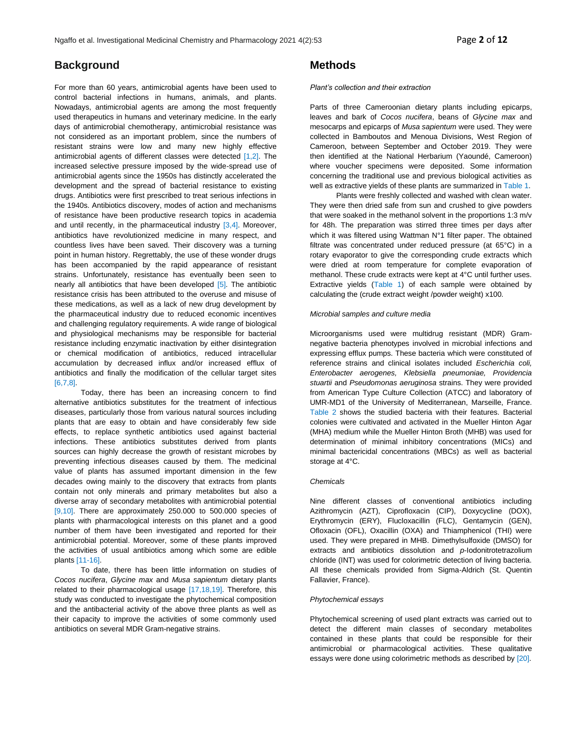## **Background**

For more than 60 years, antimicrobial agents have been used to control bacterial infections in humans, animals, and plants. Nowadays, antimicrobial agents are among the most frequently used therapeutics in humans and veterinary medicine. In the early days of antimicrobial chemotherapy, antimicrobial resistance was not considered as an important problem, since the numbers of resistant strains were low and many new highly effective antimicrobial agents of different classes were detected [1,2]. The increased selective pressure imposed by the wide-spread use of antimicrobial agents since the 1950s has distinctly accelerated the development and the spread of bacterial resistance to existing drugs. Antibiotics were first prescribed to treat serious infections in the 1940s. Antibiotics discovery, modes of action and mechanisms of resistance have been productive research topics in academia and until recently, in the pharmaceutical industry [3,4]. Moreover, antibiotics have revolutionized medicine in many respect, and countless lives have been saved. Their discovery was a turning point in human history. Regrettably, the use of these wonder drugs has been accompanied by the rapid appearance of resistant strains. Unfortunately, resistance has eventually been seen to nearly all antibiotics that have been developed [5]. The antibiotic resistance crisis has been attributed to the overuse and misuse of these medications, as well as a lack of new drug development by the pharmaceutical industry due to reduced economic incentives and challenging regulatory requirements. A wide range of biological and physiological mechanisms may be responsible for bacterial resistance including enzymatic inactivation by either disintegration or chemical modification of antibiotics, reduced intracellular accumulation by decreased influx and/or increased efflux of antibiotics and finally the modification of the cellular target sites [6,7,8].

Today, there has been an increasing concern to find alternative antibiotics substitutes for the treatment of infectious diseases, particularly those from various natural sources including plants that are easy to obtain and have considerably few side effects, to replace synthetic antibiotics used against bacterial infections. These antibiotics substitutes derived from plants sources can highly decrease the growth of resistant microbes by preventing infectious diseases caused by them. The medicinal value of plants has assumed important dimension in the few decades owing mainly to the discovery that extracts from plants contain not only minerals and primary metabolites but also a diverse array of secondary metabolites with antimicrobial potential [9,10]. There are approximately 250.000 to 500.000 species of plants with pharmacological interests on this planet and a good number of them have been investigated and reported for their antimicrobial potential. Moreover, some of these plants improved the activities of usual antibiotics among which some are edible plants [11-16].

To date, there has been little information on studies of *Cocos nucifera*, *Glycine max* and *Musa sapientum* dietary plants related to their pharmacological usage [17,18,19]. Therefore, this study was conducted to investigate the phytochemical composition and the antibacterial activity of the above three plants as well as their capacity to improve the activities of some commonly used antibiotics on several MDR Gram-negative strains.

## **Methods**

#### *Plant's collection and their extraction*

Parts of three Cameroonian dietary plants including epicarps, leaves and bark of *Cocos nucifera*, beans of *Glycine max* and mesocarps and epicarps of *Musa sapientum* were used. They were collected in Bamboutos and Menoua Divisions, West Region of Cameroon, between September and October 2019. They were then identified at the National Herbarium (Yaoundé, Cameroon) where voucher specimens were deposited. Some information concerning the traditional use and previous biological activities as well as extractive yields of these plants are summarized in Table 1.

Plants were freshly collected and washed with clean water. They were then dried safe from sun and crushed to give powders that were soaked in the methanol solvent in the proportions 1:3 m/v for 48h. The preparation was stirred three times per days after which it was filtered using Wattman N°1 filter paper. The obtained filtrate was concentrated under reduced pressure (at 65°C) in a rotary evaporator to give the corresponding crude extracts which were dried at room temperature for complete evaporation of methanol. These crude extracts were kept at 4°C until further uses. Extractive yields (Table 1) of each sample were obtained by calculating the (crude extract weight /powder weight) x100.

#### *Microbial samples and culture media*

Microorganisms used were multidrug resistant (MDR) Gramnegative bacteria phenotypes involved in microbial infections and expressing efflux pumps. These bacteria which were constituted of reference strains and clinical isolates included *Escherichia coli, Enterobacter aerogenes, Klebsiella pneumoniae, Providencia stuartii* and *Pseudomonas aeruginosa* strains. They were provided from American Type Culture Collection (ATCC) and laboratory of UMR-MD1 of the University of Mediterranean, Marseille, France. Table 2 shows the studied bacteria with their features. Bacterial colonies were cultivated and activated in the Mueller Hinton Agar (MHA) medium while the Mueller Hinton Broth (MHB) was used for determination of minimal inhibitory concentrations (MICs) and minimal bactericidal concentrations (MBCs) as well as bacterial storage at 4°C.

### *Chemicals*

Nine different classes of conventional antibiotics including Azithromycin (AZT), Ciprofloxacin (CIP), Doxycycline (DOX), Erythromycin (ERY), Flucloxacillin (FLC), Gentamycin (GEN), Ofloxacin (OFL), Oxacillin (OXA) and Thiamphenicol (THI) were used. They were prepared in MHB. Dimethylsulfoxide (DMSO) for extracts and antibiotics dissolution and *p*-Iodonitrotetrazolium chloride (INT) was used for colorimetric detection of living bacteria. All these chemicals provided from Sigma-Aldrich (St. Quentin Fallavier, France).

#### *Phytochemical essays*

Phytochemical screening of used plant extracts was carried out to detect the different main classes of secondary metabolites contained in these plants that could be responsible for their antimicrobial or pharmacological activities. These qualitative essays were done using colorimetric methods as described by [20].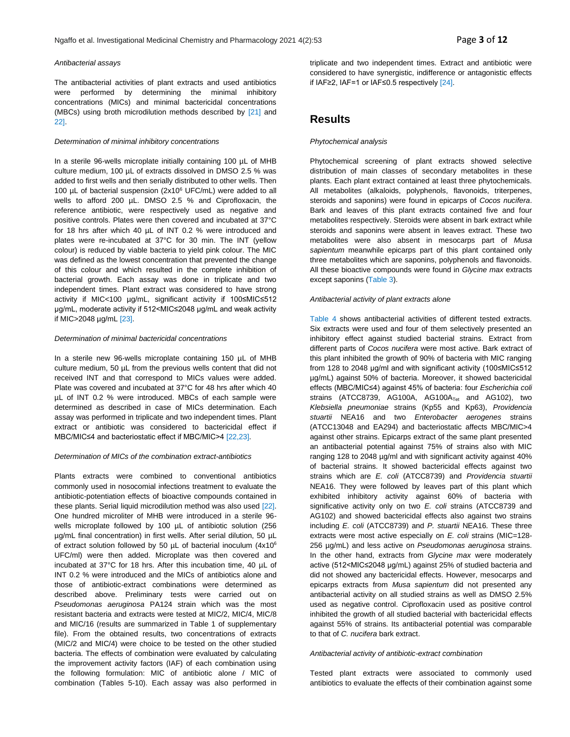#### *Antibacterial assays*

The antibacterial activities of plant extracts and used antibiotics were performed by determining the minimal inhibitory concentrations (MICs) and minimal bactericidal concentrations (MBCs) using broth microdilution methods described by [21] and 22].

#### *Determination of minimal inhibitory concentrations*

In a sterile 96-wells microplate initially containing 100 µL of MHB culture medium, 100 µL of extracts dissolved in DMSO 2.5 % was added to first wells and then serially distributed to other wells. Then 100 µL of bacterial suspension (2x10<sup>6</sup> UFC/mL) were added to all wells to afford 200 µL. DMSO 2.5 % and Ciprofloxacin, the reference antibiotic, were respectively used as negative and positive controls. Plates were then covered and incubated at 37°C for 18 hrs after which 40 µL of INT 0.2 % were introduced and plates were re-incubated at 37°C for 30 min. The INT (yellow colour) is reduced by viable bacteria to yield pink colour. The MIC was defined as the lowest concentration that prevented the change of this colour and which resulted in the complete inhibition of bacterial growth. Each assay was done in triplicate and two independent times. Plant extract was considered to have strong activity if MIC<100 µg/mL, significant activity if 100≤MIC≤512 µg/mL, moderate activity if 512<MIC≤2048 µg/mL and weak activity if MIC>2048 µg/mL [23].

#### *Determination of minimal bactericidal concentrations*

In a sterile new 96-wells microplate containing 150 µL of MHB culture medium, 50 µL from the previous wells content that did not received INT and that correspond to MICs values were added. Plate was covered and incubated at 37°C for 48 hrs after which 40 µL of INT 0.2 % were introduced. MBCs of each sample were determined as described in case of MICs determination. Each assay was performed in triplicate and two independent times. Plant extract or antibiotic was considered to bactericidal effect if MBC/MIC≤4 and bacteriostatic effect if MBC/MIC>4 [22,23].

#### *Determination of MICs of the combination extract-antibiotics*

Plants extracts were combined to conventional antibiotics commonly used in nosocomial infections treatment to evaluate the antibiotic-potentiation effects of bioactive compounds contained in these plants. Serial liquid microdilution method was also used [22]. One hundred microliter of MHB were introduced in a sterile 96 wells microplate followed by 100 µL of antibiotic solution (256 µg/mL final concentration) in first wells. After serial dilution, 50 µL of extract solution followed by 50 µL of bacterial inoculum (4x10<sup>6</sup> UFC/ml) were then added. Microplate was then covered and incubated at 37°C for 18 hrs. After this incubation time, 40 µL of INT 0.2 % were introduced and the MICs of antibiotics alone and those of antibiotic-extract combinations were determined as described above. Preliminary tests were carried out on *Pseudomonas aeruginosa* PA124 strain which was the most resistant bacteria and extracts were tested at MIC/2, MIC/4, MIC/8 and MIC/16 (results are summarized in Table 1 of supplementary file). From the obtained results, two concentrations of extracts (MIC/2 and MIC/4) were choice to be tested on the other studied bacteria. The effects of combination were evaluated by calculating the improvement activity factors (IAF) of each combination using the following formulation: MIC of antibiotic alone / MIC of combination (Tables 5-10). Each assay was also performed in

triplicate and two independent times. Extract and antibiotic were considered to have synergistic, indifference or antagonistic effects if IAF≥2, IAF=1 or IAF≤0.5 respectively [24].

## **Results**

#### *Phytochemical analysis*

Phytochemical screening of plant extracts showed selective distribution of main classes of secondary metabolites in these plants. Each plant extract contained at least three phytochemicals. All metabolites (alkaloids, polyphenols, flavonoids, triterpenes, steroids and saponins) were found in epicarps of *Cocos nucifera*. Bark and leaves of this plant extracts contained five and four metabolites respectively. Steroids were absent in bark extract while steroids and saponins were absent in leaves extract. These two metabolites were also absent in mesocarps part of *Musa sapientum* meanwhile epicarps part of this plant contained only three metabolites which are saponins, polyphenols and flavonoids. All these bioactive compounds were found in *Glycine max* extracts except saponins (Table 3).

#### *Antibacterial activity of plant extracts alone*

Table 4 shows antibacterial activities of different tested extracts. Six extracts were used and four of them selectively presented an inhibitory effect against studied bacterial strains. Extract from different parts of *Cocos nucifera* were most active. Bark extract of this plant inhibited the growth of 90% of bacteria with MIC ranging from 128 to 2048 µg/ml and with significant activity (100≤MIC≤512 µg/mL) against 50% of bacteria. Moreover, it showed bactericidal effects (MBC/MIC≤4) against 45% of bacteria: four *Escherichia coli* strains (ATCC8739, AG100A, AG100A<sub>Tet</sub> and AG102), two *Klebsiella pneumoniae* strains (Kp55 and Kp63), *Providencia stuartii* NEA16 and two *Enterobacter aerogenes* strains (ATCC13048 and EA294) and bacteriostatic affects MBC/MIC>4 against other strains. Epicarps extract of the same plant presented an antibacterial potential against 75% of strains also with MIC ranging 128 to 2048 µg/ml and with significant activity against 40% of bacterial strains. It showed bactericidal effects against two strains which are *E. coli* (ATCC8739) and *Providencia stuartii* NEA16. They were followed by leaves part of this plant which exhibited inhibitory activity against 60% of bacteria with significative activity only on two *E. coli* strains (ATCC8739 and AG102) and showed bactericidal effects also against two strains including *E. coli* (ATCC8739) and *P. stuartii* NEA16. These three extracts were most active especially on *E. coli* strains (MIC=128- 256 µg/mL) and less active on *Pseudomonas aeruginosa* strains. In the other hand, extracts from *Glycine max* were moderately active (512<MIC≤2048 µg/mL) against 25% of studied bacteria and did not showed any bactericidal effects. However, mesocarps and epicarps extracts from *Musa sapientum* did not presented any antibacterial activity on all studied strains as well as DMSO 2.5% used as negative control. Ciprofloxacin used as positive control inhibited the growth of all studied bacterial with bactericidal effects against 55% of strains. Its antibacterial potential was comparable to that of *C. nucifera* bark extract.

#### *Antibacterial activity of antibiotic-extract combination*

Tested plant extracts were associated to commonly used antibiotics to evaluate the effects of their combination against some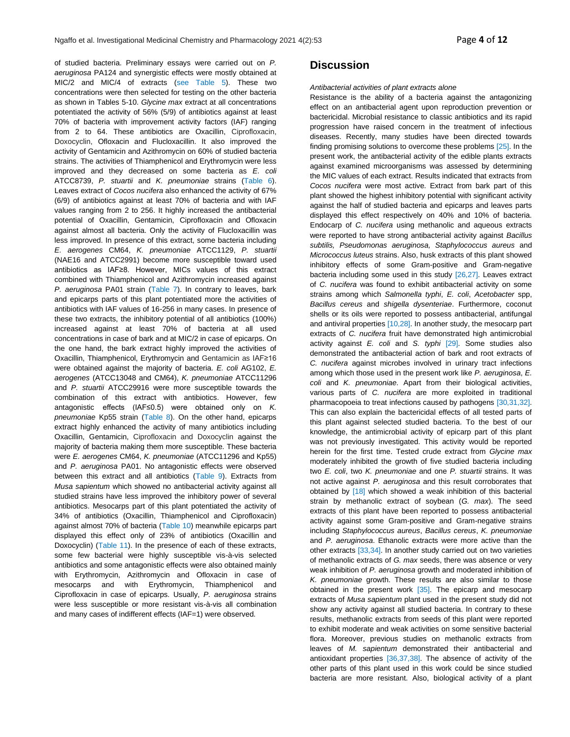of studied bacteria. Preliminary essays were carried out on *P. aeruginosa* PA124 and synergistic effects were mostly obtained at MIC/2 and MIC/4 of extracts (see Table 5). These two concentrations were then selected for testing on the other bacteria as shown in Tables 5-10. *Glycine max* extract at all concentrations potentiated the activity of 56% (5/9) of antibiotics against at least 70% of bacteria with improvement activity factors (IAF) ranging from 2 to 64. These antibiotics are Oxacillin, Ciprofloxacin, Doxocyclin, Ofloxacin and Flucloxacillin. It also improved the activity of Gentamicin and Azithromycin on 60% of studied bacteria strains. The activities of Thiamphenicol and Erythromycin were less improved and they decreased on some bacteria as *E. coli* ATCC8739, *P. stuartii* and *K. pneumoniae* strains (Table 6). Leaves extract of *Cocos nucifera* also enhanced the activity of 67% (6/9) of antibiotics against at least 70% of bacteria and with IAF values ranging from 2 to 256. It highly increased the antibacterial potential of Oxacillin, Gentamicin, Ciprofloxacin and Ofloxacin against almost all bacteria. Only the activity of Flucloxacillin was less improved. In presence of this extract, some bacteria including *E. aerogenes* CM64, *K. pneumoniae* ATCC1129, *P. stuartii* (NAE16 and ATCC2991) become more susceptible toward used antibiotics as IAF≥8. However, MICs values of this extract combined with Thiamphenicol and Azithromycin increased against *P. aeruginosa* PA01 strain (Table 7). In contrary to leaves, bark and epicarps parts of this plant potentiated more the activities of antibiotics with IAF values of 16-256 in many cases. In presence of these two extracts, the inhibitory potential of all antibiotics (100%) increased against at least 70% of bacteria at all used concentrations in case of bark and at MIC/2 in case of epicarps. On the one hand, the bark extract highly improved the activities of Oxacillin, Thiamphenicol, Erythromycin and Gentamicin as IAF≥16 were obtained against the majority of bacteria. *E. coli* AG102, *E. aerogenes* (ATCC13048 and CM64), *K. pneumoniae* ATCC11296 and *P. stuartii* ATCC29916 were more susceptible towards the combination of this extract with antibiotics. However, few antagonistic effects (IAF≤0.5) were obtained only on *K. pneumoniae* Kp55 strain (Table 8). On the other hand, epicarps extract highly enhanced the activity of many antibiotics including Oxacillin, Gentamicin, Ciprofloxacin and Doxocyclin against the majority of bacteria making them more susceptible. These bacteria were *E. aerogenes* CM64, *K. pneumoniae* (ATCC11296 and Kp55) and *P. aeruginosa* PA01. No antagonistic effects were observed between this extract and all antibiotics (Table 9). Extracts from *Musa sapientum* which showed no antibacterial activity against all studied strains have less improved the inhibitory power of several antibiotics. Mesocarps part of this plant potentiated the activity of 34% of antibiotics (Oxacillin, Thiamphenicol and Ciprofloxacin) against almost 70% of bacteria (Table 10) meanwhile epicarps part displayed this effect only of 23% of antibiotics (Oxacillin and Doxocyclin) (Table 11). In the presence of each of these extracts, some few bacterial were highly susceptible vis-à-vis selected antibiotics and some antagonistic effects were also obtained mainly with Erythromycin, Azithromycin and Ofloxacin in case of mesocarps and with Erythromycin, Thiamphenicol and Ciprofloxacin in case of epicarps. Usually, *P. aeruginosa* strains were less susceptible or more resistant vis-à-vis all combination and many cases of indifferent effects (IAF=1) were observed.

## **Discussion**

#### *Antibacterial activities of plant extracts alone*

Resistance is the ability of a bacteria against the antagonizing effect on an antibacterial agent upon reproduction prevention or bactericidal. Microbial resistance to classic antibiotics and its rapid progression have raised concern in the treatment of infectious diseases. Recently, many studies have been directed towards finding promising solutions to overcome these problems [25]. In the present work, the antibacterial activity of the edible plants extracts against examined microorganisms was assessed by determining the MIC values of each extract. Results indicated that extracts from *Cocos nucifera* were most active. Extract from bark part of this plant showed the highest inhibitory potential with significant activity against the half of studied bacteria and epicarps and leaves parts displayed this effect respectively on 40% and 10% of bacteria. Endocarp of *C. nucifera* using methanolic and aqueous extracts were reported to have strong antibacterial activity against *Bacillus subtilis, Pseudomonas aeruginosa, Staphylococcus aureus* and *Micrococcus luteus* strains. Also, husk extracts of this plant showed inhibitory effects of some Gram-positive and Gram-negative bacteria including some used in this study [26,27]. Leaves extract of *C. nucifera* was found to exhibit antibacterial activity on some strains among which *Salmonella typhi*, *E. coli*, *Acetobacter* spp, *Bacillus cereus* and *shigella dysenteriae*. Furthermore, coconut shells or its oils were reported to possess antibacterial, antifungal and antiviral properties [10,28]. In another study, the mesocarp part extracts of *C. nucifera* fruit have demonstrated high antimicrobial activity against *E. coli* and *S. typhi* [29]. Some studies also demonstrated the antibacterial action of bark and root extracts of *C. nucifera* against microbes involved in urinary tract infections among which those used in the present work like *P. aeruginosa*, *E. coli* and *K. pneumoniae*. Apart from their biological activities, various parts of *C. nucifera* are more exploited in traditional pharmacopoeia to treat infections caused by pathogens [30,31,32]. This can also explain the bactericidal effects of all tested parts of this plant against selected studied bacteria. To the best of our knowledge, the antimicrobial activity of epicarp part of this plant was not previously investigated. This activity would be reported herein for the first time. Tested crude extract from *Glycine max* moderately inhibited the growth of five studied bacteria including two *E. coli*, two *K. pneumoniae* and one *P. stuartii* strains. It was not active against *P. aeruginosa* and this result corroborates that obtained by [18] which showed a weak inhibition of this bacterial strain by methanolic extract of soybean (*G. max*). The seed extracts of this plant have been reported to possess antibacterial activity against some Gram-positive and Gram-negative strains including *Staphylococcus aureus*, *Bacillus cereus*, *K. pneumoniae* and *P. aeruginosa*. Ethanolic extracts were more active than the other extracts [33,34]. In another study carried out on two varieties of methanolic extracts of *G. max* seeds, there was absence or very weak inhibition of *P. aeruginosa* growth and moderated inhibition of *K. pneumoniae* growth. These results are also similar to those obtained in the present work [35]. The epicarp and mesocarp extracts of *Musa sapientum* plant used in the present study did not show any activity against all studied bacteria. In contrary to these results, methanolic extracts from seeds of this plant were reported to exhibit moderate and weak activities on some sensitive bacterial flora. Moreover, previous studies on methanolic extracts from leaves of *M. sapientum* demonstrated their antibacterial and antioxidant properties [36,37,38]. The absence of activity of the other parts of this plant used in this work could be since studied bacteria are more resistant. Also, biological activity of a plant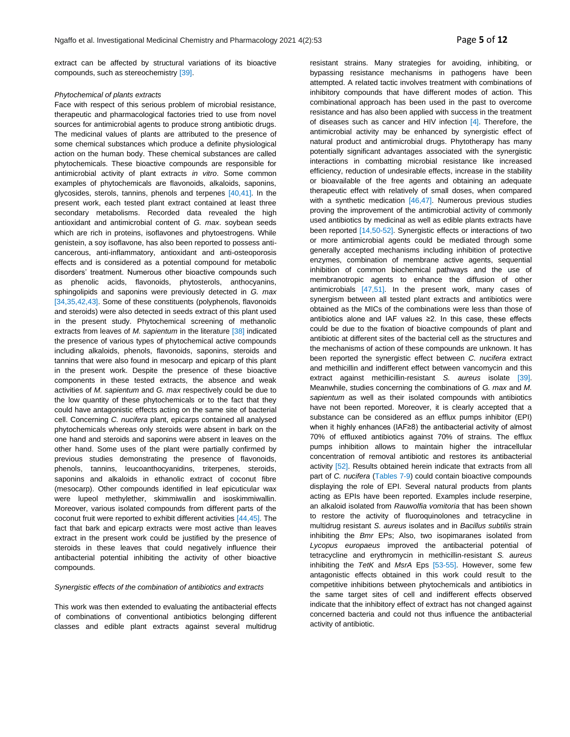extract can be affected by structural variations of its bioactive compounds, such as stereochemistry [39].

#### *Phytochemical of plants extracts*

Face with respect of this serious problem of microbial resistance, therapeutic and pharmacological factories tried to use from novel sources for antimicrobial agents to produce strong antibiotic drugs. The medicinal values of plants are attributed to the presence of some chemical substances which produce a definite physiological action on the human body. These chemical substances are called phytochemicals. These bioactive compounds are responsible for antimicrobial activity of plant extracts *in vitro*. Some common examples of phytochemicals are flavonoids, alkaloids, saponins, glycosides, sterols, tannins, phenols and terpenes [40,41]. In the present work, each tested plant extract contained at least three secondary metabolisms. Recorded data revealed the high antioxidant and antimicrobial content of *G. max*. soybean seeds which are rich in proteins, isoflavones and phytoestrogens. While genistein, a soy isoflavone, has also been reported to possess anticancerous, anti-inflammatory, antioxidant and anti-osteoporosis effects and is considered as a potential compound for metabolic disorders' treatment. Numerous other bioactive compounds such as phenolic acids, flavonoids, phytosterols, anthocyanins, sphingolipids and saponins were previously detected in *G. max* [34,35,42,43]. Some of these constituents (polyphenols, flavonoids and steroids) were also detected in seeds extract of this plant used in the present study. Phytochemical screening of methanolic extracts from leaves of *M. sapientum* in the literature [38] indicated the presence of various types of phytochemical active compounds including alkaloids, phenols, flavonoids, saponins, steroids and tannins that were also found in mesocarp and epicarp of this plant in the present work. Despite the presence of these bioactive components in these tested extracts, the absence and weak activities of *M. sapientum* and *G. max* respectively could be due to the low quantity of these phytochemicals or to the fact that they could have antagonistic effects acting on the same site of bacterial cell. Concerning *C. nucifera* plant, epicarps contained all analysed phytochemicals whereas only steroids were absent in bark on the one hand and steroids and saponins were absent in leaves on the other hand. Some uses of the plant were partially confirmed by previous studies demonstrating the presence of flavonoids, phenols, tannins, leucoanthocyanidins, triterpenes, steroids, saponins and alkaloids in ethanolic extract of coconut fibre (mesocarp). Other compounds identified in leaf epicuticular wax were lupeol methylether, skimmiwallin and isoskimmiwallin. Moreover, various isolated compounds from different parts of the coconut fruit were reported to exhibit different activities [44,45]. The fact that bark and epicarp extracts were most active than leaves extract in the present work could be justified by the presence of steroids in these leaves that could negatively influence their antibacterial potential inhibiting the activity of other bioactive compounds.

#### *Synergistic effects of the combination of antibiotics and extracts*

This work was then extended to evaluating the antibacterial effects of combinations of conventional antibiotics belonging different classes and edible plant extracts against several multidrug resistant strains. Many strategies for avoiding, inhibiting, or bypassing resistance mechanisms in pathogens have been attempted. A related tactic involves treatment with combinations of inhibitory compounds that have different modes of action. This combinational approach has been used in the past to overcome resistance and has also been applied with success in the treatment of diseases such as cancer and HIV infection  $[4]$ . Therefore, the antimicrobial activity may be enhanced by synergistic effect of natural product and antimicrobial drugs. Phytotherapy has many potentially significant advantages associated with the synergistic interactions in combatting microbial resistance like increased efficiency, reduction of undesirable effects, increase in the stability or bioavailable of the free agents and obtaining an adequate therapeutic effect with relatively of small doses, when compared with a synthetic medication [46,47]. Numerous previous studies proving the improvement of the antimicrobial activity of commonly used antibiotics by medicinal as well as edible plants extracts have been reported [14,50-52]. Synergistic effects or interactions of two or more antimicrobial agents could be mediated through some generally accepted mechanisms including inhibition of protective enzymes, combination of membrane active agents, sequential inhibition of common biochemical pathways and the use of membranotropic agents to enhance the diffusion of other antimicrobials [47,51]. In the present work, many cases of synergism between all tested plant extracts and antibiotics were obtained as the MICs of the combinations were less than those of antibiotics alone and IAF values ≥2. In this case, these effects could be due to the fixation of bioactive compounds of plant and antibiotic at different sites of the bacterial cell as the structures and the mechanisms of action of these compounds are unknown. It has been reported the synergistic effect between *C. nucifera* extract and methicillin and indifferent effect between vancomycin and this extract against methicillin-resistant *S. aureus* isolate [39]. Meanwhile, studies concerning the combinations of *G. max* and *M. sapientum* as well as their isolated compounds with antibiotics have not been reported. Moreover, it is clearly accepted that a substance can be considered as an efflux pumps inhibitor (EPI) when it highly enhances (IAF≥8) the antibacterial activity of almost 70% of effluxed antibiotics against 70% of strains. The efflux pumps inhibition allows to maintain higher the intracellular concentration of removal antibiotic and restores its antibacterial activity [52]. Results obtained herein indicate that extracts from all part of *C. nucifera* (Tables 7-9) could contain bioactive compounds displaying the role of EPI. Several natural products from plants acting as EPIs have been reported. Examples include reserpine, an alkaloid isolated from *Rauwolfia vomitoria* that has been shown to restore the activity of fluoroquinolones and tetracycline in multidrug resistant *S. aureus* isolates and in *Bacillus subtilis* strain inhibiting the *Bmr* EPs; Also, two isopimaranes isolated from *Lycopus europaeus* improved the antibacterial potential of tetracycline and erythromycin in methicillin-resistant *S. aureus* inhibiting the *TetK* and *MsrA* Eps [53-55]. However, some few antagonistic effects obtained in this work could result to the competitive inhibitions between phytochemicals and antibiotics in the same target sites of cell and indifferent effects observed indicate that the inhibitory effect of extract has not changed against concerned bacteria and could not thus influence the antibacterial activity of antibiotic.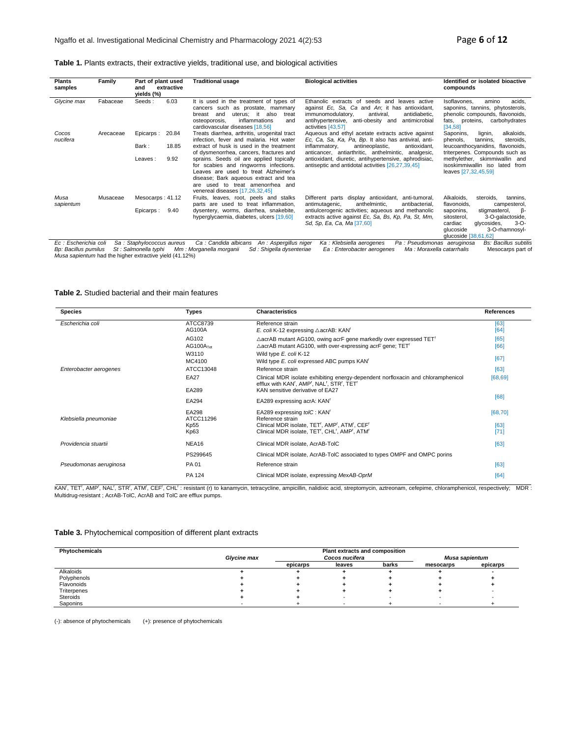|  | Table 1. Plants extracts, their extractive yields, traditional use, and biological activities |  |  |  |  |
|--|-----------------------------------------------------------------------------------------------|--|--|--|--|
|--|-----------------------------------------------------------------------------------------------|--|--|--|--|

| <b>Plants</b><br>samples | Family    | Part of plant used<br>extractive<br>and<br>yields (%) | <b>Traditional usage</b>                                                                                                                                                                                                                  | <b>Biological activities</b>                                                                                                                                                                                                        | Identified or isolated bioactive<br>compounds                                                                                                                      |
|--------------------------|-----------|-------------------------------------------------------|-------------------------------------------------------------------------------------------------------------------------------------------------------------------------------------------------------------------------------------------|-------------------------------------------------------------------------------------------------------------------------------------------------------------------------------------------------------------------------------------|--------------------------------------------------------------------------------------------------------------------------------------------------------------------|
| Glycine max              | Fabaceae  | 6.03<br>Seeds:                                        | It is used in the treatment of types of<br>cancers such as prostate, mammary<br>uterus; it<br>also<br>breast<br>and<br>treat<br>inflammations<br>osteoporosis,<br>and<br>cardiovascular diseases [18,56]                                  | Ethanolic extracts of seeds and leaves active<br>against Ec. Sa. Ca and An; it has antioxidant,<br>immunomodulatory,<br>antiviral.<br>antidiabetic.<br>anti-obesity and<br>antimicrobial<br>antihypertensive,<br>activities [43,57] | amino<br>acids.<br>Isoflavones.<br>saponins, tannins, phytosterols,<br>phenolic compounds, flavonoids,<br>fats, proteins, carbohydrates<br>[34, 58]                |
| Cocos<br>nucifera        | Arecaceae | 20.84<br>Epicarps :                                   | Treats diarrhea, arthritis, urogenital tract<br>infection, fever and malaria. Hot water                                                                                                                                                   | Aqueous and ethyl acetate extracts active against<br>Ec. Ca. Sa. Ka. Pa. Bp. It also has antiviral, anti-                                                                                                                           | alkaloids,<br>Saponins,<br>lianin.<br>phenols,<br>tannins.<br>steroids.                                                                                            |
|                          |           | 18.85<br>Bark:                                        | extract of husk is used in the treatment<br>of dysmenorrhea, cancers, fractures and                                                                                                                                                       | antineoplastic,<br>inflammatory,<br>antioxidant.<br>anticancer, antiarthritic, anthelmintic, analgesic,                                                                                                                             | leucoanthocyanidins, flavonoids,<br>triterpenes. Compounds such as                                                                                                 |
|                          |           | 9.92<br>Leaves:                                       | sprains. Seeds oil are applied topically<br>for scabies and ringworms infections.<br>Leaves are used to treat Alzheimer's<br>disease; Bark aqueous extract and tea<br>are used to treat amenorrhea and<br>venereal diseases [17,26,32,45] | antioxidant, diuretic, antihypertensive, aphrodisiac,<br>antiseptic and antidotal activities [26,27,39,45]                                                                                                                          | methylether, skimmiwallin and<br>isoskimmiwallin iso lated from<br>leaves [27,32,45,59]                                                                            |
| Musa<br>sapientum        | Musaceae  | Mesocarps: 41.12                                      | Fruits, leaves, root, peels and stalks<br>parts are used to treat inflammation,                                                                                                                                                           | Different parts display antioxidant, anti-tumoral,<br>anthelmintic.<br>antibacterial,<br>antimutagenic,                                                                                                                             | Alkaloids,<br>steroids,<br>tannins.<br>flavonoids,<br>campesterol,                                                                                                 |
|                          |           | 9.40<br>Epicarps :                                    | dysentery, worms, diarrhea, snakebite,<br>hyperglycaemia, diabetes, ulcers [19,60]                                                                                                                                                        | antiulcerogenic activities; aqueous and methanolic<br>extracts active against Ec, Sa, Bs, Kp, Pa, St, Mm,<br>Sd, Sp, Ea, Ca, Ma [37,60]                                                                                             | stigmasterol,<br>- ß<br>saponins,<br>3-O-galactoside,<br>sitosterol,<br>glycosides,<br>$3 - O -$<br>cardiac<br>3-O-rhamnosyl-<br>qlucoside<br>qlucoside [38,61,62] |
| Ec : Escherichia coli    |           | Sa: Staphylococcus aureus                             | Ca : Candida albicans An : Aspergillus niger                                                                                                                                                                                              | Ka : Klebsiella aerogenes<br>Pa : Pseudomonas aeruginosa                                                                                                                                                                            | Bs: Bacillus subtili                                                                                                                                               |

Ec : Escherichia coli Sa : Staphylococcus aureus Ca : Candida albicans An : Aspergillus niger Ka : Kebsiella aerogenes Pa : Pseudomonas aeruginosa Bs: Bacillus subtilis<br>Bp: Bacillus pumilus St : Salmonella typhi Mm : Morga

#### **Table 2.** Studied bacterial and their main features

| <b>Species</b>         | Types                          | <b>Characteristics</b>                                                                                                                                            | <b>References</b> |
|------------------------|--------------------------------|-------------------------------------------------------------------------------------------------------------------------------------------------------------------|-------------------|
| Escherichia coli       | ATCC8739<br>AG100A             | Reference strain<br>E. coli K-12 expressing $\triangle$ acrAB: KAN'                                                                                               | [63]<br>[64]      |
|                        | AG102<br>AG100A <sub>Tet</sub> | ∆acrAB mutant AG100, owing acrF gene markedly over expressed TET <sup>r</sup><br>$\triangle$ acrAB mutant AG100, with over-expressing acrF gene; TET <sup>T</sup> | [65]<br>[66]      |
|                        | W3110<br>MC4100<br>ATCC13048   | Wild type E. coli K-12<br>Wild type E. coli expressed ABC pumps KAN <sup>T</sup><br>Reference strain                                                              | [67]              |
| Enterobacter aerogenes | <b>EA27</b>                    | Clinical MDR isolate exhibiting energy-dependent norfloxacin and chloramphenicol<br>efflux with KAN', AMP', NAL', STR', TET'                                      | [63]<br>[68, 69]  |
|                        | EA289<br>EA294                 | KAN sensitive derivative of EA27<br>EA289 expressing acrA: KAN'                                                                                                   | [68]              |
| Klebsiella pneumoniae  | EA298<br>ATCC11296             | EA289 expressing tolC: KAN <sup>T</sup><br>Reference strain                                                                                                       | [68, 70]          |
|                        | Kp55<br>Kp63                   | Clinical MDR isolate, TET', AMP', ATM', CEF'<br>Clinical MDR isolate, TET', CHL', AMP', ATM'                                                                      | [63]<br>$[71]$    |
| Providencia stuartii   | NEA16                          | Clinical MDR isolate, AcrAB-TolC                                                                                                                                  | [63]              |
|                        | PS299645                       | Clinical MDR isolate, AcrAB-TolC associated to types OMPF and OMPC porins                                                                                         |                   |
| Pseudomonas aeruginosa | PA 01                          | Reference strain                                                                                                                                                  | [63]              |
|                        | PA 124                         | Clinical MDR isolate, expressing MexAB-OprM                                                                                                                       | [64]              |

KAN', TET', AMP', NAL', STR', ATM', CEF', CHL': resistant (r) to kanamycin, tetracycline, ampicillin, nalidixic acid, streptomycin, aztreonam, cefepime, chloramphenicol, respectively; MDR : Multidrug-resistant ; AcrAB-TolC, AcrAB and TolC are efflux pumps.

## **Table 3.** Phytochemical composition of different plant extracts

| Phytochemicals |             |          | <b>Plant extracts and composition</b> |       |                |          |
|----------------|-------------|----------|---------------------------------------|-------|----------------|----------|
|                | Glycine max |          | Cocos nucifera                        |       | Musa sapientum |          |
|                |             | epicarps | leaves                                | barks | mesocarps      | epicarps |
| Alkaloids      |             |          |                                       |       |                |          |
| Polyphenols    |             |          |                                       |       |                |          |
| Flavonoids     |             |          |                                       |       |                |          |
| Triterpenes    |             |          |                                       |       |                |          |
| Steroids       |             |          |                                       |       |                |          |
| Saponins       |             |          |                                       |       |                |          |

(-): absence of phytochemicals (+): presence of phytochemicals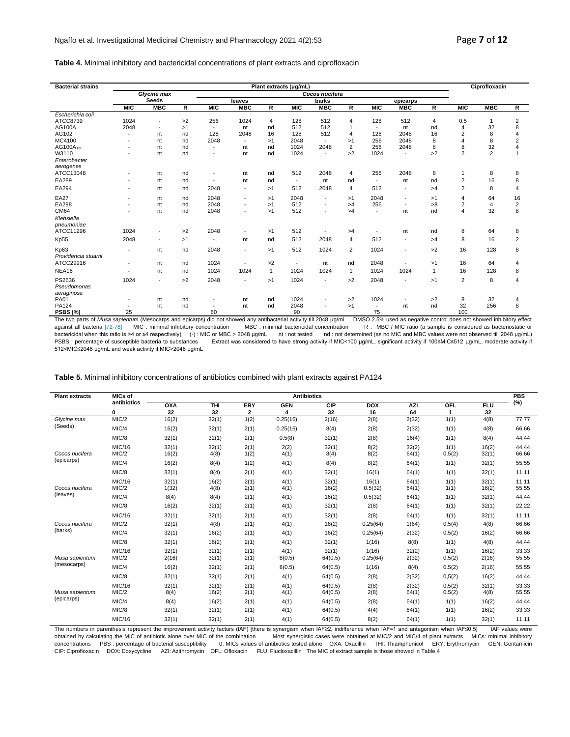### **Table 4.** Minimal inhibitory and bactericidal concentrations of plant extracts and ciprofloxacin

| Cocos nucifera<br>Glycine max<br><b>Seeds</b><br>leaves<br>barks<br>epicarps<br><b>MIC</b><br><b>MBC</b><br>R<br><b>MIC</b><br><b>MBC</b><br><b>MIC</b><br><b>MBC</b><br><b>MIC</b><br><b>MBC</b><br>R<br><b>MIC</b><br><b>MBC</b><br>R<br>R<br>R<br>Escherichia coli<br>ATCC8739<br>1024<br>>2<br>256<br>1024<br>128<br>512<br>128<br>512<br>0.5<br>$\overline{2}$<br>4<br>$\overline{4}$<br>4<br>32<br>8<br>AG100A<br>2048<br>512<br>512<br>>1<br>4<br>nd<br>nd<br>nt<br>nt<br>$\blacksquare$<br>$\overline{\phantom{a}}$<br>AG102<br>128<br>16<br>512<br>128<br>16<br>$\overline{c}$<br>8<br>2048<br>128<br>2048<br>nd<br>4<br>$\overline{4}$<br>nt<br>٠<br>MC4100<br>2048<br>$\overline{2}$<br>2048<br>2048<br>256<br>8<br>$\overline{4}$<br>8<br>>1<br>nt<br>nd<br>>1<br>32<br>AG100ATet<br>1024<br>$\overline{2}$<br>256<br>2048<br>8<br>2048<br>8<br>nt<br>nd<br>$\overline{4}$<br>nd<br>nt<br>$\blacksquare$<br>$\overline{2}$<br>$\overline{2}$<br>1024<br>1024<br>>2<br>W3110<br>>2<br>nt<br>nd<br>nt<br>nd<br>$\overline{a}$<br>Enterobacter<br>aerogenes<br>256<br>2048<br>ATCC13048<br>512<br>2048<br>8<br>8<br>8<br>nd<br>nt<br>nd<br>nt<br>4<br>1<br>EA289<br>$\overline{c}$<br>16<br>8<br>nd<br>nd<br>nd<br>nt<br>nt<br>nt<br>nd<br>nt<br>$\blacksquare$<br>$\overline{\phantom{a}}$<br>EA294<br>512<br>$\overline{c}$<br>2048<br>2048<br>4<br>512<br>8<br>$\overline{4}$<br>>1<br>>4<br>nt<br>nd<br>$\blacksquare$<br>$\overline{\phantom{a}}$<br><b>EA27</b><br>2048<br>2048<br>2048<br>64<br>16<br>4<br>nd<br>>1<br>>1<br>>1<br>nt<br>$\blacksquare$<br>$\blacksquare$ |
|-------------------------------------------------------------------------------------------------------------------------------------------------------------------------------------------------------------------------------------------------------------------------------------------------------------------------------------------------------------------------------------------------------------------------------------------------------------------------------------------------------------------------------------------------------------------------------------------------------------------------------------------------------------------------------------------------------------------------------------------------------------------------------------------------------------------------------------------------------------------------------------------------------------------------------------------------------------------------------------------------------------------------------------------------------------------------------------------------------------------------------------------------------------------------------------------------------------------------------------------------------------------------------------------------------------------------------------------------------------------------------------------------------------------------------------------------------------------------------------------------------------------------------------------------------------------------------------------|
|                                                                                                                                                                                                                                                                                                                                                                                                                                                                                                                                                                                                                                                                                                                                                                                                                                                                                                                                                                                                                                                                                                                                                                                                                                                                                                                                                                                                                                                                                                                                                                                           |
|                                                                                                                                                                                                                                                                                                                                                                                                                                                                                                                                                                                                                                                                                                                                                                                                                                                                                                                                                                                                                                                                                                                                                                                                                                                                                                                                                                                                                                                                                                                                                                                           |
|                                                                                                                                                                                                                                                                                                                                                                                                                                                                                                                                                                                                                                                                                                                                                                                                                                                                                                                                                                                                                                                                                                                                                                                                                                                                                                                                                                                                                                                                                                                                                                                           |
|                                                                                                                                                                                                                                                                                                                                                                                                                                                                                                                                                                                                                                                                                                                                                                                                                                                                                                                                                                                                                                                                                                                                                                                                                                                                                                                                                                                                                                                                                                                                                                                           |
|                                                                                                                                                                                                                                                                                                                                                                                                                                                                                                                                                                                                                                                                                                                                                                                                                                                                                                                                                                                                                                                                                                                                                                                                                                                                                                                                                                                                                                                                                                                                                                                           |
|                                                                                                                                                                                                                                                                                                                                                                                                                                                                                                                                                                                                                                                                                                                                                                                                                                                                                                                                                                                                                                                                                                                                                                                                                                                                                                                                                                                                                                                                                                                                                                                           |
|                                                                                                                                                                                                                                                                                                                                                                                                                                                                                                                                                                                                                                                                                                                                                                                                                                                                                                                                                                                                                                                                                                                                                                                                                                                                                                                                                                                                                                                                                                                                                                                           |
|                                                                                                                                                                                                                                                                                                                                                                                                                                                                                                                                                                                                                                                                                                                                                                                                                                                                                                                                                                                                                                                                                                                                                                                                                                                                                                                                                                                                                                                                                                                                                                                           |
|                                                                                                                                                                                                                                                                                                                                                                                                                                                                                                                                                                                                                                                                                                                                                                                                                                                                                                                                                                                                                                                                                                                                                                                                                                                                                                                                                                                                                                                                                                                                                                                           |
|                                                                                                                                                                                                                                                                                                                                                                                                                                                                                                                                                                                                                                                                                                                                                                                                                                                                                                                                                                                                                                                                                                                                                                                                                                                                                                                                                                                                                                                                                                                                                                                           |
|                                                                                                                                                                                                                                                                                                                                                                                                                                                                                                                                                                                                                                                                                                                                                                                                                                                                                                                                                                                                                                                                                                                                                                                                                                                                                                                                                                                                                                                                                                                                                                                           |
|                                                                                                                                                                                                                                                                                                                                                                                                                                                                                                                                                                                                                                                                                                                                                                                                                                                                                                                                                                                                                                                                                                                                                                                                                                                                                                                                                                                                                                                                                                                                                                                           |
|                                                                                                                                                                                                                                                                                                                                                                                                                                                                                                                                                                                                                                                                                                                                                                                                                                                                                                                                                                                                                                                                                                                                                                                                                                                                                                                                                                                                                                                                                                                                                                                           |
|                                                                                                                                                                                                                                                                                                                                                                                                                                                                                                                                                                                                                                                                                                                                                                                                                                                                                                                                                                                                                                                                                                                                                                                                                                                                                                                                                                                                                                                                                                                                                                                           |
|                                                                                                                                                                                                                                                                                                                                                                                                                                                                                                                                                                                                                                                                                                                                                                                                                                                                                                                                                                                                                                                                                                                                                                                                                                                                                                                                                                                                                                                                                                                                                                                           |
|                                                                                                                                                                                                                                                                                                                                                                                                                                                                                                                                                                                                                                                                                                                                                                                                                                                                                                                                                                                                                                                                                                                                                                                                                                                                                                                                                                                                                                                                                                                                                                                           |
| 512<br>EA298<br>2048<br>256<br>>8<br>$\overline{c}$<br>$\overline{2}$<br>>1<br>$\overline{4}$<br>nt<br>nd<br>>4<br>$\overline{a}$<br>٠                                                                                                                                                                                                                                                                                                                                                                                                                                                                                                                                                                                                                                                                                                                                                                                                                                                                                                                                                                                                                                                                                                                                                                                                                                                                                                                                                                                                                                                    |
| CM64<br>2048<br>512<br>4<br>32<br>8<br>nt<br>nd<br>>1<br>>4<br>nd<br>nt<br>$\overline{a}$<br>٠                                                                                                                                                                                                                                                                                                                                                                                                                                                                                                                                                                                                                                                                                                                                                                                                                                                                                                                                                                                                                                                                                                                                                                                                                                                                                                                                                                                                                                                                                            |
| Klebsiella                                                                                                                                                                                                                                                                                                                                                                                                                                                                                                                                                                                                                                                                                                                                                                                                                                                                                                                                                                                                                                                                                                                                                                                                                                                                                                                                                                                                                                                                                                                                                                                |
| pneumoniae                                                                                                                                                                                                                                                                                                                                                                                                                                                                                                                                                                                                                                                                                                                                                                                                                                                                                                                                                                                                                                                                                                                                                                                                                                                                                                                                                                                                                                                                                                                                                                                |
| ATCC11296<br>1024<br>>2<br>2048<br>512<br>8<br>64<br>8<br>>1<br>nt<br>nd<br>>4<br>$\overline{\phantom{a}}$                                                                                                                                                                                                                                                                                                                                                                                                                                                                                                                                                                                                                                                                                                                                                                                                                                                                                                                                                                                                                                                                                                                                                                                                                                                                                                                                                                                                                                                                                |
| Kp55<br>2048<br>512<br>8<br>$\overline{2}$<br>2048<br>4<br>512<br>16<br>>1<br>nd<br>>4<br>nt<br>$\blacksquare$                                                                                                                                                                                                                                                                                                                                                                                                                                                                                                                                                                                                                                                                                                                                                                                                                                                                                                                                                                                                                                                                                                                                                                                                                                                                                                                                                                                                                                                                            |
| Kp63<br>512<br>2048<br>1024<br>$\overline{2}$<br>1024<br>>2<br>16<br>128<br>8<br>nd<br>>1<br>nt<br>$\overline{\phantom{a}}$<br>$\overline{a}$                                                                                                                                                                                                                                                                                                                                                                                                                                                                                                                                                                                                                                                                                                                                                                                                                                                                                                                                                                                                                                                                                                                                                                                                                                                                                                                                                                                                                                             |
| Providencia stuartii                                                                                                                                                                                                                                                                                                                                                                                                                                                                                                                                                                                                                                                                                                                                                                                                                                                                                                                                                                                                                                                                                                                                                                                                                                                                                                                                                                                                                                                                                                                                                                      |
| ATCC29916<br>1024<br>>2<br>2048<br>16<br>64<br>nt<br>nd<br>nt<br>nd<br>>1<br>4                                                                                                                                                                                                                                                                                                                                                                                                                                                                                                                                                                                                                                                                                                                                                                                                                                                                                                                                                                                                                                                                                                                                                                                                                                                                                                                                                                                                                                                                                                            |
| NEA16<br>1024<br>1024<br>1024<br>16<br>$\mathbf{1}$<br>1024<br>1024<br>1024<br>128<br>8<br>nt<br>nd<br>$\mathbf{1}$<br>$\overline{1}$                                                                                                                                                                                                                                                                                                                                                                                                                                                                                                                                                                                                                                                                                                                                                                                                                                                                                                                                                                                                                                                                                                                                                                                                                                                                                                                                                                                                                                                     |
| PS2636<br>1024<br>2048<br>1024<br>2048<br>$\overline{2}$<br>8<br>>2<br>>2<br>$\overline{4}$<br>>1<br>>1<br>$\blacksquare$<br>$\overline{\phantom{a}}$<br>$\overline{\phantom{a}}$                                                                                                                                                                                                                                                                                                                                                                                                                                                                                                                                                                                                                                                                                                                                                                                                                                                                                                                                                                                                                                                                                                                                                                                                                                                                                                                                                                                                         |
| Pseudomonas                                                                                                                                                                                                                                                                                                                                                                                                                                                                                                                                                                                                                                                                                                                                                                                                                                                                                                                                                                                                                                                                                                                                                                                                                                                                                                                                                                                                                                                                                                                                                                               |
| aeruginosa                                                                                                                                                                                                                                                                                                                                                                                                                                                                                                                                                                                                                                                                                                                                                                                                                                                                                                                                                                                                                                                                                                                                                                                                                                                                                                                                                                                                                                                                                                                                                                                |
| <b>PA01</b><br>1024<br>1024<br>>2<br>>2<br>8<br>32<br>nd<br>nd<br>nt<br>nt<br>4<br>$\overline{\phantom{a}}$                                                                                                                                                                                                                                                                                                                                                                                                                                                                                                                                                                                                                                                                                                                                                                                                                                                                                                                                                                                                                                                                                                                                                                                                                                                                                                                                                                                                                                                                               |
| <b>PA124</b><br>32<br>8<br>2048<br>256<br>nd<br>>1<br>nd<br>nt<br>nd<br>nt<br>nt<br>$\blacksquare$                                                                                                                                                                                                                                                                                                                                                                                                                                                                                                                                                                                                                                                                                                                                                                                                                                                                                                                                                                                                                                                                                                                                                                                                                                                                                                                                                                                                                                                                                        |
| PSBS (%)<br>75<br>100<br>25<br>60<br>90                                                                                                                                                                                                                                                                                                                                                                                                                                                                                                                                                                                                                                                                                                                                                                                                                                                                                                                                                                                                                                                                                                                                                                                                                                                                                                                                                                                                                                                                                                                                                   |

The two parts of *Musa sapientum* (Mesocarps and epicarps) did not showed any antibacterial activity till 2048 µg/ml DMSO 2.5% used as negative control does not showed inhibitory effect<br>bagainst all bacteria [72-78] MIC : 512<MIC≤2048 µg/mL and weak activity if MIC>2048 µg/mL

| <b>Plant extracts</b> | <b>MICs of</b>  |                |                |                | <b>Antibiotics</b> |                    |                   |                |                  |                | <b>PBS</b>     |
|-----------------------|-----------------|----------------|----------------|----------------|--------------------|--------------------|-------------------|----------------|------------------|----------------|----------------|
|                       | antibiotics     | OXA            | THI            | ERY            | <b>GEN</b>         | CIP                | <b>DOX</b>        | <b>AZI</b>     | OFL              | <b>FLU</b>     | (%)            |
|                       | $\mathbf{0}$    | 32             | 32             | $\overline{2}$ | 4                  | 32                 | 16                | 64             | $\mathbf{1}$     | 32             |                |
| Glycine max           | MIC/2           | 16(2)          | 32(1)          | 1(2)           | 0.25(16)           | 2(16)              | 2(8)              | 2(32)          | 1(1)             | 4(8)           | 77.77          |
| (Seeds)               | MIC/4           | 16(2)          | 32(1)          | 2(1)           | 0.25(16)           | 8(4)               | 2(8)              | 2(32)          | 1(1)             | 4(8)           | 66.66          |
|                       | MIC/8           | 32(1)          | 32(1)          | 2(1)           | 0.5(8)             | 32(1)              | 2(8)              | 16(4)          | 1(1)             | 8(4)           | 44.44          |
| Cocos nucifera        | MIC/16<br>MIC/2 | 32(1)<br>16(2) | 32(1)<br>4(8)  | 2(1)<br>1(2)   | 2(2)<br>4(1)       | 32(1)<br>8(4)      | 8(2)<br>8(2)      | 32(2)<br>64(1) | 1(1)<br>0.5(2)   | 16(2)<br>32(1) | 44.44<br>66.66 |
| (epicarps)            | MIC/4           | 16(2)          | 8(4)           | 1(2)           | 4(1)               | 8(4)               | 8(2)              | 64(1)          | 1(1)             | 32(1)          | 55.55          |
|                       | MIC/8           | 32(1)          | 8(4)           | 2(1)           | 4(1)               | 32(1)              | 16(1)             | 64(1)          | 1(1)             | 32(1)          | 11.11          |
| Cocos nucifera        | MIC/16<br>MIC/2 | 32(1)<br>1(32) | 16(2)<br>4(8)  | 2(1)<br>2(1)   | 4(1)<br>4(1)       | 32(1)<br>16(2)     | 16(1)<br>0.5(32)  | 64(1)<br>64(1) | 1(1)<br>1(1)     | 32(1)<br>16(2) | 11.11<br>55.55 |
| (leaves)              | MIC/4           | 8(4)           | 8(4)           | 2(1)           | 4(1)               | 16(2)              | 0.5(32)           | 64(1)          | 1(1)             | 32(1)          | 44.44          |
|                       | MIC/8           | 16(2)          | 32(1)          | 2(1)           | 4(1)               | 32(1)              | 2(8)              | 64(1)          | 1(1)             | 32(1)          | 22.22          |
|                       | MIC/16          | 32(1)          | 32(1)          | 2(1)           | 4(1)               | 32(1)              | 2(8)              | 64(1)          | 1(1)             | 32(1)          | 11.11          |
| Cocos nucifera        | MIC/2           | 32(1)          | 4(8)           | 2(1)           | 4(1)               | 16(2)              | 0.25(64)          | 1(64)          | 0.5(4)           | 4(8)           | 66.66          |
| (barks)               | MIC/4           | 32(1)          | 16(2)          | 2(1)           | 4(1)               | 16(2)              | 0.25(64)          | 2(32)          | 0.5(2)           | 16(2)          | 66.66          |
|                       | MIC/8           | 32(1)          | 16(2)          | 2(1)           | 4(1)               | 32(1)              | 1(16)             | 8(8)           | 1(1)             | 4(8)           | 44.44          |
| Musa sapientum        | MIC/16<br>MIC/2 | 32(1)<br>2(16) | 32(1)<br>32(1) | 2(1)<br>2(1)   | 4(1)<br>8(0.5)     | 32(1)<br>64(0.5)   | 1(16)<br>0.25(64) | 32(2)<br>2(32) | 1(1)<br>0.5(2)   | 16(2)<br>2(16) | 33.33<br>55.55 |
| (mesocarps)           | MIC/4           | 16(2)          | 32(1)          | 2(1)           | 8(0.5)             | 64(0.5)            | 1(16)             | 8(4)           | 0.5(2)           | 2(16)          | 55.55          |
|                       | MIC/8           | 32(1)          | 32(1)          | 2(1)           | 4(1)               | 64(0.5)            | 2(8)              | 2(32)          | 0,5(2)           | 16(2)          | 44.44          |
| Musa sapientum        | MIC/16<br>MIC/2 | 32(1)<br>8(4)  | 32(1)<br>16(2) | 2(1)<br>2(1)   | 4(1)<br>4(1)       | 64(0.5)<br>64(0.5) | 2(8)<br>2(8)      | 2(32)<br>64(1) | 0,5(2)<br>0.5(2) | 32(1)<br>4(8)  | 33.33<br>55.55 |
| (epicarps)            | MIC/4           | 8(4)           | 16(2)          | 2(1)           | 4(1)               | 64(0.5)            | 2(8)              | 64(1)          | 1(1)             | 16(2)          | 44.44          |
|                       | MIC/8           | 32(1)          | 32(1)          | 2(1)           | 4(1)               | 64(0.5)            | 4(4)              | 64(1)          | 1(1)             | 16(2)          | 33.33          |
|                       | MIC/16          | 32(1)          | 32(1)          | 2(1)           | 4(1)               | 64(0.5)            | 8(2)              | 64(1)          | 1(1)             | 32(1)          | 11.11          |

**Table 5.** Minimal inhibitory concentrations of antibiotics combined with plant extracts against PA124

The numbers in parenthesis represent the improvement activity factors (IAF) [there is synergism when IAF≥2, indifference when IAF=1 and antagonism when IAF≤0.5] IAF values were obtained by calculating the MIC of antibiotic alone over MIC of the combination Most synergistic cases were obtained at MIC/2 and MIC/4 of plant extracts MICs: minimal inhibitory<br>
concentrations PBS: percentage of bacteria 0: MICs values of antibiotics tested alone OXA: Oxacillin THI: Thiamphenicol ERY: Erythromycin GEN: Gentamicin CIP: Ciprofloxacin DOX: Doxycycline AZI: Azithromycin OFL: Ofloxacin FLU: Flucloxacillin The MIC of extract sample is those showed in Table 4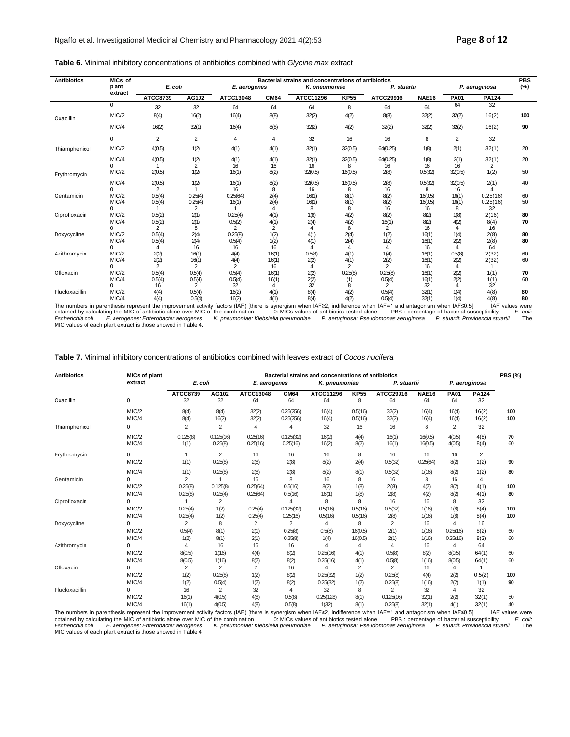**Table 6.** Minimal inhibitory concentrations of antibiotics combined with *Glycine max* extract

| <b>Antibiotics</b>                                                                                                                                                        | MICs of           |                |                |                |                | Bacterial strains and concentrations of antibiotics |                |                |              |                |               | <b>PBS</b>              |
|---------------------------------------------------------------------------------------------------------------------------------------------------------------------------|-------------------|----------------|----------------|----------------|----------------|-----------------------------------------------------|----------------|----------------|--------------|----------------|---------------|-------------------------|
|                                                                                                                                                                           | plant             | E. coli        |                | E. aerogenes   |                | K. pneumoniae                                       |                | P. stuartii    |              |                | P. aeruginosa | (%)                     |
|                                                                                                                                                                           | extract           | ATCC8739       | AG102          | ATCC13048      | <b>CM64</b>    | ATCC11296                                           | <b>KP55</b>    | ATCC29916      | <b>NAE16</b> | <b>PA01</b>    | <b>PA124</b>  |                         |
|                                                                                                                                                                           | $\mathbf 0$       | 32             | 32             | 64             | 64             | 64                                                  | 8              | 64             | 64           | 64             | 32            |                         |
| Oxacillin                                                                                                                                                                 | MIC/2             | 8(4)           | 16(2)          | 16(4)          | 8(8)           | 32(2)                                               | 4(2)           | 8(8)           | 32(2)        | 32(2)          | 16(2)         | 100                     |
|                                                                                                                                                                           | MIC/4             | 16(2)          | 32(1)          | 16(4)          | 8(8)           | 32(2)                                               | 4(2)           | 32(2)          | 32(2)        | 32(2)          | 16(2)         | 90                      |
|                                                                                                                                                                           | $\Omega$          | $\overline{2}$ | $\overline{2}$ | 4              | 4              | 32                                                  | 16             | 16             | 8            | $\overline{2}$ | 32            |                         |
| Thiamphenicol                                                                                                                                                             | MIC/2             | 4(0.5)         | 1(2)           | 4(1)           | 4(1)           | 32(1)                                               | 32(0.5)        | 64(0.25)       | 1(8)         | 2(1)           | 32(1)         | 20                      |
|                                                                                                                                                                           | MIC/4<br>$\Omega$ | 4(0.5)         | 1(2)<br>2      | 4(1)<br>16     | 4(1)<br>16     | 32(1)<br>16                                         | 32(0.5)<br>8   | 64(0.25)<br>16 | 1(8)<br>16   | 2(1)<br>16     | 32(1)<br>2    | 20                      |
| Erythromycin                                                                                                                                                              | MIC/2             | 2(0.5)         | 1(2)           | 16(1)          | 8(2)           | 32(0.5)                                             | 16(0.5)        | 2(8)           | 0.5(32)      | 32(0.5)        | 1(2)          | 50                      |
|                                                                                                                                                                           | MIC/4             | 2(0.5)         | 1(2)           | 16(1)          | 8(2)           | 32(0.5)                                             | 16(0.5)        | 2(8)           | 0.5(32)      | 32(0.5)        | 2(1)          | 40                      |
| Gentamicin                                                                                                                                                                | $\Omega$<br>MIC/2 | 2<br>0.5(4)    | 0.25(4)        | 16<br>0.25(64) | 8<br>2(4)      | 16<br>16(1)                                         | 8<br>8(1)      | 16<br>8(2)     | 8<br>16(0.5) | 16<br>16(1)    | 4<br>0.25(16) | 60                      |
|                                                                                                                                                                           | MIC/4             | 0.5(4)         | 0.25(4)        | 16(1)          | 2(4)           | 16(1)                                               | 8(1)           | 8(2)           | 16(0.5)      | 16(1)          | 0.25(16)      | 50                      |
|                                                                                                                                                                           | $\Omega$          |                | $\overline{2}$ |                | 4              | 8                                                   | 8              | 16             | 16           | 8              | 32            |                         |
| Ciprofloxacin                                                                                                                                                             | MIC/2             | 0.5(2)         | 2(1)           | 0.25(4)        | 4(1)           | 1(8)                                                | 4(2)           | 8(2)           | 8(2)         | 1(8)           | 2(16)         | 80                      |
|                                                                                                                                                                           | MIC/4             | 0.5(2)         | 2(1)           | 0.5(2)         | 4(1)           | 2(4)                                                | 4(2)           | 16(1)          | 8(2)         | 4(2)           | 8(4)          | 70                      |
|                                                                                                                                                                           | $\Omega$          | 2              | 8              | $\overline{2}$ | $\overline{2}$ | $\overline{4}$                                      | 8              | 2              | 16           | 4              | 16            |                         |
| Doxycycline                                                                                                                                                               | MIC/2             | 0.5(4)         | 2(4)           | 0.25(8)        | 1(2)           | 4(1)                                                | 2(4)           | 1(2)           | 16(1)        | 1(4)           | 2(8)          | 80                      |
|                                                                                                                                                                           | MIC/4<br>0        | 0.5(4)<br>4    | 2(4)<br>16     | 0.5(4)<br>16   | 1(2)<br>16     | 4(1)<br>4                                           | 2(4)<br>4      | 1(2)<br>4      | 16(1)<br>16  | 2(2)<br>4      | 2(8)<br>64    | 80                      |
| Azithromycin                                                                                                                                                              | MIC/2             |                | 16(1)          | 4(4)           | 16(1)          | 0.5(8)                                              | 4(1)           | 1(4)           | 16(1)        | 0.5(8)         | 2(32)         | 60                      |
|                                                                                                                                                                           | MIC/4             | 2(2)<br>2(2)   | 16(1)          | 4(4)           | 16(1)          | 2(2)                                                | 4(1)           | 2(2)           | 16(1)        | 2(2)           | 2(32)         | 60                      |
|                                                                                                                                                                           | 0                 | $\overline{2}$ | $\overline{2}$ | $\overline{2}$ | 16             | 4                                                   | $\overline{2}$ | $\overline{2}$ | 16           | 4              |               |                         |
| Ofloxacin                                                                                                                                                                 | MIC/2             | 0.5(4)         | 0.5(4)         | 0.5(4)         | 16(1)          | 2(2)                                                | 0.25(8)        | 0.25(8)        | 16(1)        | 2(2)           | 1(1)          | 70                      |
|                                                                                                                                                                           | MIC/4             | 0.5(4)         | 0.5(4)         | 0.5(4)         | 16(1)          | 2(2)                                                | (1)            | 0.5(4)         | 16(1)        | 2(2)           | 1(1)          | 60                      |
|                                                                                                                                                                           | $\Omega$          | 16             | $\overline{2}$ | 32             | $\Delta$       | 32                                                  |                | 2              | 32           | Δ              | 32            |                         |
| Flucloxacillin                                                                                                                                                            | MIC/2             | 4(4)           | 0.5(4)         | 16(2)          | 4(1)           | 8(4)                                                | 4(2)           | 0.5(4)         | 32(1)        | 1(4)           | 4(8)          | 80                      |
| The numbers in percepthonic represent the improvement optivity fectors (IAE) [there is overgrain when IAE $>2$ indifference when $I$ AE=1 and opteratiom when $I$ AE<0 E1 | MIC/4             | 4(4)           | 0.5(4)         | 16(2)          | 4(1)           | 8(4)                                                | 4(2)           | 0.5(4)         | 32(1)        | 1(4)           | 4(8)          | 80<br>$IAE$ volupp word |

MIC/4 4(4) 0.5(4) 16(2) 4(1) 8(4) 4(2) 4(2) 4(2) 4(2) 4(3) 4(3) 4(3) 4(3) 4(4) 6.5(4) 4(4) 6.5(4) 4(4) 6.5(4) 4(4) 6.5(4) 4(4) 6.5(4) 4(4) 6.5(4) 4(4) 6.5(4) 4(4) 6.5(4) 4(4) 6.5(4) 4.6 and the improvement activity factors

**Table 7.** Minimal inhibitory concentrations of antibiotics combined with leaves extract of *Cocos nucifera*

| <b>Antibiotics</b> | <b>MICs of plant</b>       |                                     |                           |                        |                          | Bacterial strains and concentrations of antibiotics |                         |                           |                      |                                    |                        | PBS(%)     |
|--------------------|----------------------------|-------------------------------------|---------------------------|------------------------|--------------------------|-----------------------------------------------------|-------------------------|---------------------------|----------------------|------------------------------------|------------------------|------------|
|                    | extract                    | E. coli                             |                           | E. aerogenes           |                          | K. pneumoniae                                       |                         | P. stuartii               |                      |                                    | P. aeruginosa          |            |
|                    |                            | <b>ATCC8739</b>                     | AG102                     | ATCC13048              | <b>CM64</b>              | ATCC11296                                           | <b>KP55</b>             | ATCC29916                 | <b>NAE16</b>         | <b>PA01</b>                        | PA124                  |            |
| Oxacillin          | $\Omega$                   | 32                                  | 32                        | 64                     | 64                       | 64                                                  | 8                       | 64                        | 64                   | 64                                 | 32                     |            |
|                    | MIC/2<br>MIC/4             | 8(4)<br>8(4)                        | 8(4)<br>16(2)             | 32(2)<br>32(2)         | 0.25(256)<br>0.25(256)   | 16(4)<br>16(4)                                      | 0.5(16)<br>0.5(16)      | 32(2)<br>32(2)            | 16(4)<br>16(4)       | 16(4)<br>16(4)                     | 16(2)<br>16(2)         | 100<br>100 |
| Thiamphenicol      | 0                          | $\overline{2}$                      | $\overline{2}$            | $\overline{4}$         | 4                        | 32                                                  | 16                      | 16                        | 8                    | $\overline{2}$                     | 32                     |            |
|                    | MIC/2<br>MIC/4             | 0.125(8)<br>1(1)                    | 0.125(16)<br>0.25(8)      | 0.25(16)<br>0.25(16)   | 0.125(32)<br>0.25(16)    | 16(2)<br>16(2)                                      | 4(4)<br>8(2)            | 16(1)<br>16(1)            | 16(0.5)<br>16(0.5)   | 4(0.5)<br>4(0.5)                   | 4(8)<br>8(4)           | 70<br>60   |
| Erythromycin       | $\Omega$<br>MIC/2          | $\overline{1}$<br>1(1)              | $\overline{2}$<br>0.25(8) | 16<br>2(8)             | 16<br>2(8)               | 16<br>8(2)                                          | 8<br>2(4)               | 16<br>0.5(32)             | 16<br>0.25(64)       | 16<br>8(2)                         | $\overline{2}$<br>1(2) | 90         |
| Gentamicin         | MIC/4<br>$\Omega$          | 1(1)<br>2                           | 0.25(8)                   | 2(8)<br>16             | 2(8)<br>8                | 8(2)<br>16                                          | 8(1)<br>8               | 0.5(32)<br>16             | 1(16)<br>8           | 8(2)<br>16                         | 1(2)<br>4              | 80         |
|                    | MIC/2<br>MIC/4             | 0.25(8)<br>0.25(8)                  | 0.125(8)<br>0.25(4)       | 0.25(64)<br>0.25(64)   | 0.5(16)<br>0.5(16)       | 8(2)<br>16(1)                                       | 1(8)<br>1(8)            | 2(8)<br>2(8)              | 4(2)<br>4(2)         | 8(2)<br>8(2)                       | 4(1)<br>4(1)           | 100<br>80  |
| Ciprofloxacin      | $\Omega$<br>MIC/2          | 0.25(4)                             | 2<br>1(2)                 | 0.25(4)                | 4<br>0.125(32)           | 8<br>0.5(16)                                        | 8<br>0.5(16)            | 16<br>0.5(32)             | 16<br>1(16)          | 8<br>1(8)                          | 32<br>8(4)             | 100        |
| Doxycycline        | MIC/4<br>$\Omega$<br>MIC/2 | 0.25(4)<br>$\overline{2}$<br>0.5(4) | 1(2)<br>8<br>8(1)         | 0.25(4)<br>2<br>2(1)   | 0.25(16)<br>2<br>0.25(8) | 0.5(16)<br>$\overline{4}$<br>0.5(8)                 | 0.5(16)<br>8<br>16(0.5) | 2(8)<br>2<br>2(1)         | 1(16)<br>16<br>1(16) | 1(8)<br>$\overline{4}$<br>0.25(16) | 8(4)<br>16<br>8(2)     | 100<br>60  |
|                    | MIC/4<br>$\Omega$          | 1(2)                                | 8(1)                      | 2(1)                   | 0.25(8)                  | 1(4)<br>$\overline{4}$                              | 16(0.5)                 | 2(1)<br>$\overline{4}$    | 1(16)                | 0.25(16)                           | 8(2)                   | 60         |
| Azithromycin       | MIC/2<br>MIC/4             | 4<br>8(0.5)<br>8(0.5)               | 16<br>1(16)<br>1(16)      | 16<br>4(4)<br>8(2)     | 16<br>8(2)<br>8(2)       | 0.25(16)<br>0.25(16)                                | 4<br>4(1)<br>4(1)       | 0.5(8)<br>0.5(8)          | 16<br>8(2)<br>1(16)  | $\overline{4}$<br>8(0.5)<br>8(0.5) | 64<br>64(1)<br>64(1)   | 60<br>60   |
| Ofloxacin          | $\Omega$<br>MIC/2          | $\overline{2}$<br>1(2)              | $\overline{2}$<br>0.25(8) | $\overline{2}$<br>1(2) | 16<br>8(2)               | $\overline{4}$<br>0.25(32)                          | $\overline{2}$<br>1(2)  | $\overline{2}$<br>0.25(8) | 16<br>4(4)           | 4<br>2(2)                          | 1<br>0.5(2)            | 100        |
| Flucloxacillin     | MIC/4<br>$\Omega$          | 1(2)<br>16                          | 0.5(4)<br>$\overline{2}$  | 1(2)<br>32             | 8(2)<br>$\overline{4}$   | 0.25(32)<br>32                                      | 1(2)<br>8               | 0.25(8)<br>2              | 1(16)<br>32          | 2(2)<br>$\overline{4}$             | 1(1)<br>32             | 90         |
|                    | MIC/2<br>MIC/4             | 16(1)<br>16(1)                      | 4(0.5)<br>4(0.5)          | 4(8)<br>4(8)           | 0.5(8)<br>0.5(8)         | 0.25(128)<br>1(32)                                  | 8(1)<br>8(1)            | 0.125(16)<br>0.25(8)      | 32(1)<br>32(1)       | 2(2)<br>4(1)                       | 32(1)<br>32(1)         | 50<br>40   |

The numbers in parenthesis represent the improvement activity factors (IAF) [there is synergism when IAF≥2, indifference when IAF=1 and antagonism when IAF≤0.5] IAF values were<br>obtained by calculating the MIC of antibiotic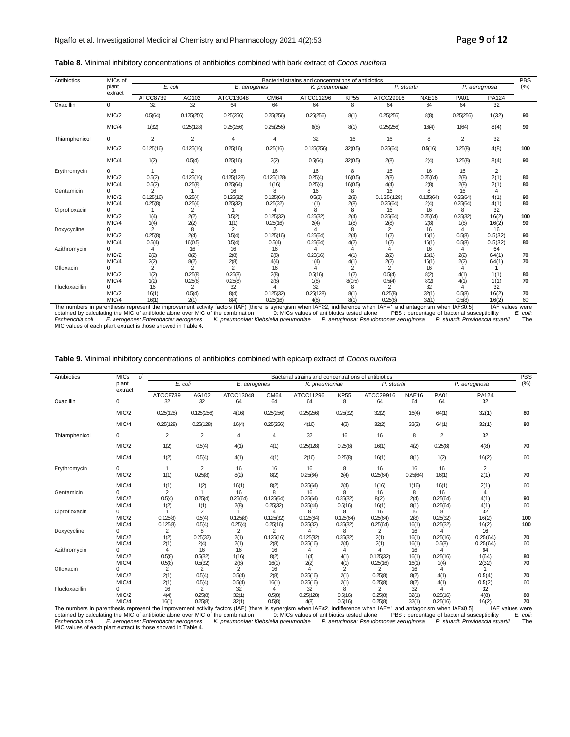### **Table 8.** Minimal inhibitory concentrations of antibiotics combined with bark extract of *Cocos nucifera*

| Antibiotics    | MICs of                      |                                        |                                             |                                   |                               | Bacterial strains and concentrations of antibiotics |                             |                                   |                              |                                |                              | <b>PBS</b>     |
|----------------|------------------------------|----------------------------------------|---------------------------------------------|-----------------------------------|-------------------------------|-----------------------------------------------------|-----------------------------|-----------------------------------|------------------------------|--------------------------------|------------------------------|----------------|
|                | plant                        | E. coli                                |                                             | E. aerogenes                      |                               | K. pneumoniae                                       |                             | P. stuartii                       |                              |                                | P. aeruginosa                | (% )           |
|                | extract                      | ATCC8739                               | AG102                                       | ATCC13048                         | CM64                          | ATCC11296                                           | <b>KP55</b>                 | ATCC29916                         | <b>NAE16</b>                 | <b>PA01</b>                    | PA124                        |                |
| Oxacillin      | $\Omega$                     | 32                                     | 32                                          | 64                                | 64                            | 64                                                  | 8                           | 64                                | 64                           | 64                             | 32                           |                |
|                | MIC/2                        | 0.5(64)                                | 0.125(256)                                  | 0.25(256)                         | 0.25(256)                     | 0.25(256)                                           | 8(1)                        | 0.25(256)                         | 8(8)                         | 0.25(256)                      | 1(32)                        | 90             |
|                | MIC/4                        | 1(32)                                  | 0.25(128)                                   | 0.25(256)                         | 0.25(256)                     | 8(8)                                                | 8(1)                        | 0.25(256)                         | 16(4)                        | 1(64)                          | 8(4)                         | 90             |
| Thiamphenicol  | $\Omega$                     | 2                                      | 2                                           | $\overline{4}$                    | 4                             | 32                                                  | 16                          | 16                                | 8                            | 2                              | 32                           |                |
|                | MIC/2                        | 0.125(16)                              | 0.125(16)                                   | 0.25(16)                          | 0.25(16)                      | 0.125(256)                                          | 32(0.5)                     | 0.25(64)                          | 0.5(16)                      | 0.25(8)                        | 4(8)                         | 100            |
|                | MIC/4                        | 1(2)                                   | 0.5(4)                                      | 0.25(16)                          | 2(2)                          | 0.5(64)                                             | 32(0.5)                     | 2(8)                              | 2(4)                         | 0.25(8)                        | 8(4)                         | 90             |
| Erythromycin   | $\Omega$<br>MIC/2<br>MIC/4   | 0.5(2)<br>0.5(2)                       | 2<br>0.125(16)<br>0.25(8)                   | 16<br>0.125(128)<br>0.25(64)      | 16<br>0.125(128)<br>1(16)     | 16<br>0.25(4)<br>0.25(4)                            | 8<br>16(0.5)<br>16(0.5)     | 16<br>2(8)<br>4(4)                | 16<br>0.25(64)<br>2(8)       | 16<br>2(8)<br>2(8)             | 2<br>2(1)<br>2(1)            | 80<br>80       |
| Gentamicin     | MIC/2<br>MIC/4               | $\overline{2}$<br>0.125(16)<br>0.25(8) | 0.25(4)<br>0.25(4)                          | 16<br>0.125(32)<br>0.25(32)       | 8<br>0.125(64)<br>0.25(32)    | 16<br>0.5(2)<br>1(1)                                | 8<br>2(8)<br>2(8)           | 16<br>0.125(128)<br>0.25(64)      | 8<br>0.125(64)<br>2(4)       | 16<br>0.25(64)<br>0.25(64)     | 4<br>4(1)<br>4(1)            | 90<br>80       |
| Ciprofloxacin  | 0<br>MIC/2<br>MIC/4          | 1(4)<br>1(4)                           | 2<br>2(2)<br>2(2)                           | 0.5(2)<br>1(1)                    | 4<br>0.125(32)<br>0.25(16)    | 8<br>0.25(32)<br>2(4)                               | 8<br>2(4)<br>1(8)           | 16<br>0.25(64)<br>2(8)            | 16<br>0.25(64)<br>2(8)       | 8<br>0.25(32)<br>1(8)          | 32<br>16(2)<br>16(2)         | 100<br>90      |
| Doxycycline    | 0<br>MIC/2<br>MIC/4          | 2<br>0.25(8)                           | 8<br>2(4)                                   | $\overline{2}$<br>0.5(4)          | 2<br>0.125(16)                | $\overline{a}$<br>0.25(64)                          | 8<br>2(4)                   | $\overline{2}$<br>1(2)            | 16<br>16(1)                  | 4<br>0.5(8)                    | 16<br>0.5(32)                | 90<br>80       |
| Azithromycin   | 0<br>MIC/2                   | 0.5(4)<br>4<br>2(2)                    | 16(0.5)<br>16<br>8(2)                       | 0.5(4)<br>16<br>2(8)              | 0.5(4)<br>16<br>2(8)          | 0.25(64)<br>4<br>0.25(16)                           | 4(2)<br>4<br>4(1)           | 1(2)<br>4<br>2(2)                 | 16(1)<br>16<br>16(1)         | 0.5(8)<br>4<br>2(2)            | 0.5(32)<br>64<br>64(1)       | 70             |
| Ofloxacin      | MIC/4<br>MIC/2               | 2(2)<br>2<br>1(2)                      | 8(2)<br>$\overline{2}$<br>0.25(8)           | 2(8)<br>$\overline{2}$<br>0.25(8) | 4(4)<br>16<br>2(8)            | 1(4)<br>0.5(16)                                     | 4(1)<br>2<br>1(2)           | 2(2)<br>$\overline{2}$<br>0.5(4)  | 16(1)<br>16<br>8(2)          | 2(2)<br>$\overline{4}$<br>4(1) | 64(1)<br>1(1)                | 70<br>80       |
| Flucloxacillin | MIC/4<br>0<br>MIC/2<br>MIC/4 | 1(2)<br>16<br>16(1)<br>16(1)           | 0.25(8)<br>$\overline{2}$<br>0.5(4)<br>2(1) | 0.25(8)<br>32<br>8(4)<br>8(4)     | 2(8)<br>0.125(32)<br>0.25(16) | 1(8)<br>32<br>0.25(128)<br>4(8)                     | 8(0.5)<br>8<br>8(1)<br>8(1) | 0.5(4)<br>2<br>0.25(8)<br>0.25(8) | 8(2)<br>32<br>32(1)<br>32(1) | 4(1)<br>Δ<br>0.5(8)<br>0.5(8)  | 1(1)<br>32<br>16(2)<br>16(2) | 70<br>70<br>60 |

MIC/4 16(1) 2(1) 8(4) 0.25(16) 4(8) 8(1) 225(16) 425(16) 16(2) 0.25(8) 32(1) 0.56(8) 16(2) 60<br>Obtained by calculating the MIC of antibiotic alone over MIC of the combination of the combination of MIC squees of antibiotics

### **Table 9.** Minimal inhibitory concentrations of antibiotics combined with epicarp extract of *Cocos nucifera*

| Antibiotics                                                                                                                                                                    | <b>MICs</b><br>of |           |                           |                |             | Bacterial strains and concentrations of antibiotics |              |                  |             |                |                | <b>PBS</b>      |
|--------------------------------------------------------------------------------------------------------------------------------------------------------------------------------|-------------------|-----------|---------------------------|----------------|-------------|-----------------------------------------------------|--------------|------------------|-------------|----------------|----------------|-----------------|
|                                                                                                                                                                                | plant             | E. coli   |                           | $E.$ aerogenes |             | K. pneumoniae                                       |              | P. stuartii      |             |                | P. aeruginosa  | (% )            |
|                                                                                                                                                                                | extract           | ATCC8739  | AG102                     | ATCC13048      | <b>CM64</b> | ATCC11296                                           | <b>KP55</b>  | ATCC29916        | NAE16       | <b>PA01</b>    | PA124          |                 |
| Oxacillin                                                                                                                                                                      | $\Omega$          | 32        | 32                        | 64             | 64          | 64                                                  | 8            | 64               | 64          | 64             | 32             |                 |
|                                                                                                                                                                                | MIC/2             | 0.25(128) | 0.125(256)                | 4(16)          | 0.25(256)   | 0.25(256)                                           | 0.25(32)     | 32(2)            | 16(4)       | 64(1)          | 32(1)          | 80              |
|                                                                                                                                                                                | MIC/4             | 0.25(128) | 0.25(128)                 | 16(4)          | 0.25(256)   | 4(16)                                               | 4(2)         | 32(2)            | 32(2)       | 64(1)          | 32(1)          | 80              |
| Thiamphenicol                                                                                                                                                                  | 0                 | 2         | 2                         | 4              | 4           | 32                                                  | 16           | 16               | 8           | 2              | 32             |                 |
|                                                                                                                                                                                | MIC/2             | 1(2)      | 0.5(4)                    | 4(1)           | 4(1)        | 0.25(128)                                           | 0.25(8)      | 16(1)            | 4(2)        | 0.25(8)        | 4(8)           | 70              |
|                                                                                                                                                                                | MIC/4             | 1(2)      | 0.5(4)                    | 4(1)           | 4(1)        | 2(16)                                               | 0.25(8)      | 16(1)            | 8(1)        | 1(2)           | 16(2)          | 60              |
| Erythromycin                                                                                                                                                                   | 0                 | 1         | 2                         | 16             | 16          | 16                                                  | 8            | 16               | 16          | 16             | 2              |                 |
|                                                                                                                                                                                | MIC/2             | 1(1)      | 0.25(8)                   | 8(2)           | 8(2)        | 0.25(64)                                            | 2(4)         | 0.25(64)         | 0.25(64)    | 16(1)          | 2(1)           | 70              |
|                                                                                                                                                                                | MIC/4             | 1(1)      | 1(2)                      | 16(1)          | 8(2)        | 0.25(64)                                            | 2(4)         | 1(16)            | 1(16)       | 16(1)          | 2(1)           | 60              |
| Gentamicin                                                                                                                                                                     | 0                 | 2         | 1                         | 16             | 8           | 16                                                  | 8            | 16               | 8           | 16             | 4              |                 |
|                                                                                                                                                                                | MIC/2             | 0.5(4)    | 0.25(4)                   | 0.25(64)       | 0.125(64)   | 0.25(64)                                            | 0.25(32)     | 8(2)             | 2(4)        | 0.25(64)       | 4(1)           | 90              |
|                                                                                                                                                                                | MIC/4             | 1(2)      | 1(1)                      | 2(8)           | 0.25(32)    | 0.25(44)                                            | 0.5(16)      | 16(1)            | 8(1)        | 0.25(64)       | 4(1)           | 60              |
| Ciprofloxacin                                                                                                                                                                  | 0                 |           | 2                         |                | 4           | 8                                                   | 8            | 16               | 16          | 8              | 32             |                 |
|                                                                                                                                                                                | MIC/2             | 0.125(8)  | 0.5(4)                    | 0.125(8)       | 0.125(32)   | 0.125(64)                                           | 0.125(64)    | 0.25(64)         | 2(8)        | 0.25(32)       | 16(2)          | 100             |
|                                                                                                                                                                                | MIC/4             | 0.125(8)  | 0.5(4)                    | 0.25(4)        | 0.25(16)    | 0.25(32)                                            | 0.25(32)     | 0.25(64)         | 16(1)       | 0.25(32)       | 16(2)          | 100             |
| Doxycycline                                                                                                                                                                    | 0                 | 2         | 8                         | 2              | 2           | 4                                                   | 8            | $\overline{2}$   | 16          | 4              | 16             |                 |
|                                                                                                                                                                                | MIC/2             | 1(2)      | 0.25(32)                  | 2(1)           | 0.125(16)   | 0.125(32)                                           | 0.25(32)     | 2(1)             | 16(1)       | 0.25(16)       | 0.25(64)       | 70              |
|                                                                                                                                                                                | MIC/4             | 2(1)<br>4 | 2(4)<br>16                | 2(1)<br>16     | 2(8)        | 0.25(16)                                            | 2(4)         | 2(1)<br>$\Delta$ | 16(1)       | 0.5(8)         | 0.25(64)       | 60              |
| Azithromycin                                                                                                                                                                   | 0<br>MIC/2        | 0.5(8)    |                           |                | 16          | 4                                                   | 4            | 0.125(32)        | 16<br>16(1) | 4<br>0.25(16)  | 64             |                 |
|                                                                                                                                                                                | MIC/4             | 0.5(8)    | 0.5(32)                   | 1(16)          | 8(2)        | 1(4)<br>2(2)                                        | 4(1)<br>4(1) | 0.25(16)         | 16(1)       |                | 1(64)<br>2(32) | 80<br>70        |
| Ofloxacin                                                                                                                                                                      | $\Omega$          | 2         | 0.5(32)<br>$\overline{2}$ | 2(8)<br>2      | 16(1)<br>16 | $\Lambda$                                           | 2            | 2                | 16          | 1(4)           |                |                 |
|                                                                                                                                                                                | MIC/2             | 2(1)      | 0.5(4)                    | 0.5(4)         | 2(8)        | 0.25(16)                                            | 2(1)         | 0.25(8)          | 8(2)        | 4(1)           | 0.5(4)         | 70              |
|                                                                                                                                                                                | MIC/4             | 2(1)      | 0.5(4)                    | 0.5(4)         | 16(1)       | 0.25(16)                                            | 2(1)         | 0.25(8)          | 8(2)        | 4(1)           | 0.5(2)         | 60              |
| Flucloxacillin                                                                                                                                                                 | 0                 | 16        | 2                         | 32             | 4           | 32                                                  | 8            | $\overline{2}$   | 32          | $\overline{4}$ | 32             |                 |
|                                                                                                                                                                                | MIC/2             | 4(4)      | 0.25(8)                   | 32(1)          | 0.5(8)      | 0.25(128)                                           | 0.5(16)      | 0.25(8)          | 32(1)       | 0.25(16)       | 4(8)           | 80              |
|                                                                                                                                                                                | MIC/4             | 16(1)     | 0.25(8)                   | 32(1)          | 0.5(8)      | 4(8)                                                | 0.5(16)      | 0.25(8)          | 32(1)       | 0.25(16)       | 16(2)          | 70              |
| The numbers in parenthesis represent the improvement activity factors ( $ AE $ ) (there is synergism when $ AE>2$ indifference when $ AE=1$ and antagonism when $ AE \leq 6$ ) |                   |           |                           |                |             |                                                     |              |                  |             |                |                | IAF values were |

The numbers in parenthesis represent the improvement activity factors (IAF) [there is synergism when IAF≥2, indifference when IAF=1 and antagonism when IAF≤0.5] IAF values were<br>obtained by calculating the MIC of antibioti *Escherichia coli E. aerogenes: Enterobacter aerogenes K. pneumoniae: Klebsiella pneumoniae P. aeruginosa: Pseudomonas aeruginosa P. stuartii: Providencia stuartii* The MIC values of each plant extract is those showed in Table 4.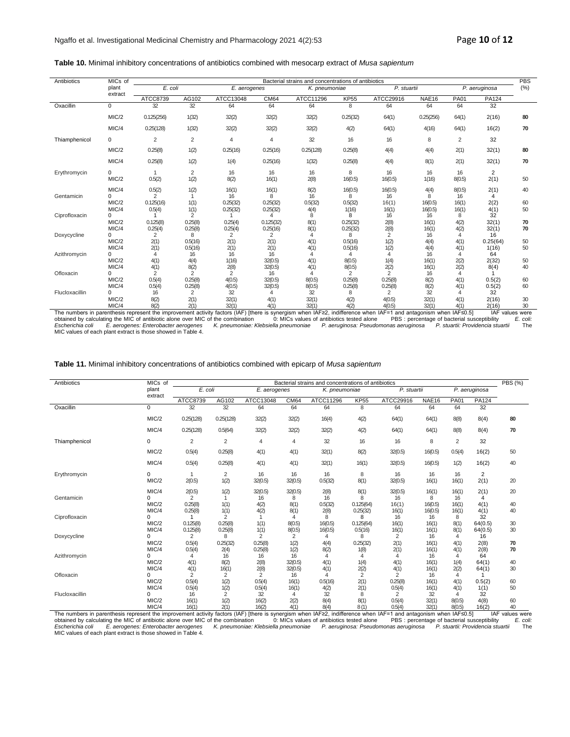### **Table 10.** Minimal inhibitory concentrations of antibiotics combined with mesocarp extract of *Musa sapientum*

| Antibiotics    | MICs of  |                |                |                |                | Bacterial strains and concentrations of antibiotics |                |                |              |                |                | <b>PBS</b> |
|----------------|----------|----------------|----------------|----------------|----------------|-----------------------------------------------------|----------------|----------------|--------------|----------------|----------------|------------|
|                | plant    | E. coli        |                | E. aerogenes   |                | K. pneumoniae                                       |                | P. stuartii    |              |                | P. aeruginosa  | $(\%)$     |
|                | extract  | ATCC8739       | AG102          | ATCC13048      | CM64           | ATCC11296                                           | <b>KP55</b>    | ATCC29916      | <b>NAE16</b> | <b>PA01</b>    | PA124          |            |
| Oxacillin      | $\Omega$ | 32             | 32             | 64             | 64             | 64                                                  | 8              | 64             | 64           | 64             | 32             |            |
|                | MIC/2    | 0.125(256)     | 1(32)          | 32(2)          | 32(2)          | 32(2)                                               | 0.25(32)       | 64(1)          | 0.25(256)    | 64(1)          | 2(16)          | 80         |
|                | MIC/4    | 0.25(128)      | 1(32)          | 32(2)          | 32(2)          | 32(2)                                               | 4(2)           | 64(1)          | 4(16)        | 64(1)          | 16(2)          | 70         |
| Thiamphenicol  | 0        | 2              | 2              | 4              | $\overline{4}$ | 32                                                  | 16             | 16             | 8            | 2              | 32             |            |
|                | MIC/2    | 0.25(8)        | 1(2)           | 0.25(16)       | 0.25(16)       | 0.25(128)                                           | 0.25(8)        | 4(4)           | 4(4)         | 2(1)           | 32(1)          | 80         |
|                | MIC/4    | 0.25(8)        | 1(2)           | 1(4)           | 0.25(16)       | 1(32)                                               | 0.25(8)        | 4(4)           | 8(1)         | 2(1)           | 32(1)          | 70         |
| Erythromycin   | 0        | 1              | 2              | 16             | 16             | 16                                                  | 8              | 16             | 16           | 16             | $\overline{2}$ |            |
|                | MIC/2    | 0.5(2)         | 1(2)           | 8(2)           | 16(1)          | 2(8)                                                | 16(0.5)        | 16(0.5)        | 1(16)        | 8(0.5)         | 2(1)           | 50         |
|                | MIC/4    | 0.5(2)         | 1(2)           | 16(1)          | 16(1)          | 8(2)                                                | 16(0.5)        | 16(0.5)        | 4(4)         | 8(0.5)         | 2(1)           | 40         |
| Gentamicin     | $\Omega$ | $\overline{2}$ |                | 16             | 8              | 16                                                  | 8              | 16             | 8            | 16             | 4              |            |
|                | MIC/2    | 0.125(16)      | 1(1)           | 0.25(32)       | 0.25(32)       | 0.5(32)                                             | 0.5(32)        | 16(1)          | 16(0.5)      | 16(1)          | 2(2)           | 60         |
|                | MIC/4    | 0.5(4)         | 1(1)           | 0.25(32)       | 0.25(32)       | 4(4)                                                | 1(16)          | 16(1)          | 16(0.5)      | 16(1)          | 4(1)           | 50         |
| Ciprofloxacin  | 0        |                | $\overline{2}$ |                | Δ              | 8                                                   | 8              | 16             | 16           | 8              | 32             |            |
|                | MIC/2    | 0.125(8)       | 0.25(8)        | 0.25(4)        | 0.125(32)      | 8(1)                                                | 0.25(32)       | 2(8)           | 16(1)        | 4(2)           | 32(1)          | 70         |
|                | MIC/4    | 0.25(4)        | 0.25(8)        | 0.25(4)        | 0.25(16)       | 8(1)                                                | 0.25(32)       | 2(8)           | 16(1)        | 4(2)           | 32(1)          | 70         |
| Doxycycline    | $\Omega$ | 2              | 8              | 2              | 2              | 4                                                   | 8              | 2              | 16           | 4              | 16             |            |
|                | MIC/2    | 2(1)           | 0.5(16)        | 2(1)           | 2(1)           | 4(1)                                                | 0.5(16)        | 1(2)           | 4(4)         | 4(1)           | 0.25(64)       | 50         |
|                | MIC/4    | 2(1)           | 0.5(16)        | 2(1)           | 2(1)           | 4(1)                                                | 0.5(16)        | 1(2)           | 4(4)         | 4(1)           | 1(16)          | 50         |
| Azithromycin   | $\Omega$ | 4              | 16             | 16             | 16             | 4                                                   | 4              | 4              | 16           | 4              | 64             |            |
|                | MIC/2    | 4(1)           | 4(4)           | 1(16)          | 32(0.5)        | 4(1)                                                | 8(0.5)         | 1(4)           | 16(1)        | 2(2)           | 2(32)          | 50         |
|                | MIC/4    | 4(1)           | 8(2)           | 2(8)           | 32(0.5)        | 4(1)                                                | 8(0.5)         | 2(2)           | 16(1)        | 2(2)           | 8(4)           | 40         |
| Ofloxacin      | $\Omega$ | $\overline{2}$ | $\overline{2}$ | $\overline{2}$ | 16             | $\overline{\mathcal{A}}$                            | $\overline{2}$ | $\overline{2}$ | 16           | $\overline{4}$ |                |            |
|                | MIC/2    | 0.5(4)         | 0.25(8)        | 4(0.5)         | 32(0.5)        | 8(0.5)                                              | 0.25(8)        | 0.25(8)        | 8(2)         | 4(1)           | 0.5(2)         | 60         |
|                | MIC/4    | 0.5(4)         | 0.25(8)        | 4(0.5)         | 32(0.5)        | 8(0.5)                                              | 0.25(8)        | 0.25(8)        | 8(2)         | 4(1)           | 0.5(2)         | 60         |
| Flucloxacillin | 0        | 16             | 2              | 32             | 4              | 32                                                  | 8              | $\overline{2}$ | 32           |                | 32             |            |
|                | MIC/2    | 8(2)           | 2(1)           | 32(1)          | 4(1)           | 32(1)                                               | 4(2)           | 4(0.5)         | 32(1)        | 4(1)           | 2(16)          | 30         |
|                | MIC/4    | 8(2)           | 2(1)           | 32(1)          | 4(1)           | 32(1)                                               | 4(2)           | 4(0.5)         | 32(1)        | 4(1)           | 2(16)          | 30         |

MIC/4 8(2) 2(1) 32(1) 4(1) 32(1) 4(1) 32(1) 4(2) 4(2) 4(5) 32(1) 4(5) 32(1) 4(5) 2(16) 30<br>
The numbers in parenthesis represent the improvement activity factors (IAF) [there is synergism when IAF≥2, indifference when IAF=1

| Table 11. Minimal inhibitory concentrations of antibiotics combined with epicarp of Musa sapientum |
|----------------------------------------------------------------------------------------------------|
|----------------------------------------------------------------------------------------------------|

| Antibiotics    | MICs of                    | Bacterial strains and concentrations of antibiotics |                                      |                                |                       |                         |                           |                       |                      |                       |                          | PBS (%)  |
|----------------|----------------------------|-----------------------------------------------------|--------------------------------------|--------------------------------|-----------------------|-------------------------|---------------------------|-----------------------|----------------------|-----------------------|--------------------------|----------|
|                | plant                      | E. coli                                             |                                      | E. aerogenes                   |                       | K. pneumoniae           |                           | P. stuartii           |                      | P. aeruginosa         |                          |          |
|                | extract                    | ATCC8739                                            | AG102                                | ATCC13048                      | CM64                  | ATCC11296               | <b>KP55</b>               | ATCC29916             | NAE16                | <b>PA01</b>           | PA124                    |          |
| Oxacillin      | $\mathbf 0$                | 32                                                  | 32                                   | 64                             | 64                    | 64                      | 8                         | 64                    | 64                   | 64                    | 32                       |          |
|                | MIC/2                      | 0.25(128)                                           | 0.25(128)                            | 32(2)                          | 32(2)                 | 16(4)                   | 4(2)                      | 64(1)                 | 64(1)                | 8(8)                  | 8(4)                     | 80       |
|                | MIC/4                      | 0.25(128)                                           | 0.5(64)                              | 32(2)                          | 32(2)                 | 32(2)                   | 4(2)                      | 64(1)                 | 64(1)                | 8(8)                  | 8(4)                     | 70       |
| Thiamphenicol  | $\mathbf 0$                | 2                                                   | $\overline{2}$                       | 4                              | $\overline{4}$        | 32                      | 16                        | 16                    | 8                    | 2                     | 32                       |          |
|                | MIC/2                      | 0.5(4)                                              | 0.25(8)                              | 4(1)                           | 4(1)                  | 32(1)                   | 8(2)                      | 32(0.5)               | 16(0.5)              | 0.5(4)                | 16(2)                    | 50       |
|                | MIC/4                      | 0.5(4)                                              | 0.25(8)                              | 4(1)                           | 4(1)                  | 32(1)                   | 16(1)                     | 32(0.5)               | 16(0.5)              | 1(2)                  | 16(2)                    | 40       |
| Erythromycin   | $\mathbf 0$<br>MIC/2       | 2(0.5)                                              | 2<br>1(2)                            | 16<br>32(0.5)                  | 16<br>32(0.5)         | 16<br>0.5(32)           | 8<br>8(1)                 | 16<br>32(0.5)         | 16<br>16(1)          | 16<br>16(1)           | 2<br>2(1)                | 20       |
| Gentamicin     | MIC/4<br>$\Omega$          | 2(0.5)<br>2                                         | 1(2)                                 | 32(0.5)<br>16                  | 32(0.5)<br>8          | 2(8)<br>16              | 8(1)<br>8                 | 32(0.5)<br>16         | 16(1)<br>8           | 16(1)<br>16           | 2(1)<br>4                | 20       |
|                | MIC/2<br>MIC/4             | 0.25(8)<br>0.25(8)                                  | 1(1)<br>1(1)                         | 4(2)<br>4(2)                   | 8(1)<br>8(1)          | 0.5(32)<br>2(8)         | 0.125(64)<br>0.25(32)     | 16(1)<br>16(1)        | 16(0.5)<br>16(0.5)   | 16(1)<br>16(1)        | 4(1)<br>4(1)             | 40<br>40 |
| Ciprofloxacin  | $\Omega$<br>MIC/2<br>MIC/4 | 0.125(8)<br>0.125(8)                                | $\overline{2}$<br>0.25(8)<br>0.25(8) | $\overline{1}$<br>1(1)<br>1(1) | 4<br>8(0.5)<br>8(0.5) | 8<br>16(0.5)<br>16(0.5) | 8<br>0.125(64)<br>0.5(16) | 16<br>16(1)<br>16(1)  | 16<br>16(1)<br>16(1) | 8<br>8(1)<br>8(1)     | 32<br>64(0.5)<br>64(0.5) | 30<br>30 |
| Doxycycline    | $\Omega$<br>MIC/2          | 2<br>0.5(4)                                         | 8<br>0.25(32)                        | 2<br>0.25(8)                   | 2<br>1(2)             | 4<br>4(4)               | 8<br>0.25(32)             | 2<br>2(1)             | 16<br>16(1)          | 4<br>4(1)             | 16<br>2(8)               | 70       |
| Azithromycin   | MIC/4<br>$\Omega$<br>MIC/2 | 0.5(4)<br>4<br>4(1)                                 | 2(4)<br>16<br>8(2)                   | 0.25(8)<br>16<br>2(8)          | 1(2)<br>16<br>32(0.5) | 8(2)<br>4<br>4(1)       | 1(8)<br>4<br>1(4)         | 2(1)<br>4<br>4(1)     | 16(1)<br>16<br>16(1) | 4(1)<br>4<br>1(4)     | 2(8)<br>64<br>64(1)      | 70<br>40 |
| Ofloxacin      | MIC/4<br>$\Omega$          | 4(1)<br>2                                           | 16(1)<br>2                           | 2(8)<br>2                      | 32(0.5)<br>16         | 4(1)<br>4               | 2(2)<br>2                 | 4(1)<br>2             | 16(1)<br>16          | 2(2)<br>4             | 64(1)                    | 30       |
|                | MIC/2<br>MIC/4             | 0.5(4)<br>0.5(4)                                    | 1(2)<br>1(2)                         | 0.5(4)<br>0.5(4)               | 16(1)<br>16(1)        | 0.5(16)<br>4(2)         | 2(1)<br>2(1)              | 0.25(8)<br>0.5(4)     | 16(1)<br>16(1)       | 4(1)<br>4(1)          | 0.5(2)<br>1(1)           | 60<br>50 |
| Flucloxacillin | $\Omega$<br>MIC/2<br>MIC/4 | 16<br>16(1)<br>16(1)                                | 2<br>1(2)<br>2(1)                    | 32<br>16(2)<br>16(2)           | 4<br>2(2)<br>4(1)     | 32<br>8(4)<br>8(4)      | 8<br>8(1)<br>8(1)         | 2<br>0.5(4)<br>0.5(4) | 32<br>32(1)<br>32(1) | 4<br>8(0.5)<br>8(0.5) | 32<br>4(8)<br>16(2)      | 60<br>40 |

MIC/4 16(1) 2(1) 16(2) 4(1) 8(4) 8(1) 0.5(4) 32(1) 8(0.5) 16(2) 40<br>
The numbers in parenthesis represent the improvement activity factors (IAF) [there is synergism when IAF≥2, indifference when IAF=1 and antagonism when IA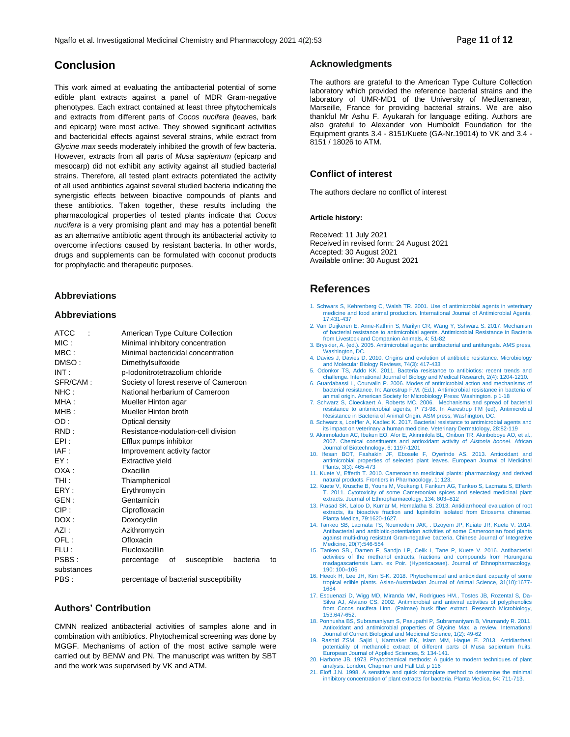## **Conclusion**

This work aimed at evaluating the antibacterial potential of some edible plant extracts against a panel of MDR Gram-negative phenotypes. Each extract contained at least three phytochemicals and extracts from different parts of *Cocos nucifera* (leaves, bark and epicarp) were most active. They showed significant activities and bactericidal effects against several strains, while extract from *Glycine max* seeds moderately inhibited the growth of few bacteria. However, extracts from all parts of *Musa sapientum* (epicarp and mesocarp) did not exhibit any activity against all studied bacterial strains. Therefore, all tested plant extracts potentiated the activity of all used antibiotics against several studied bacteria indicating the synergistic effects between bioactive compounds of plants and these antibiotics. Taken together, these results including the pharmacological properties of tested plants indicate that *Cocos nucifera* is a very promising plant and may has a potential benefit as an alternative antibiotic agent through its antibacterial activity to overcome infections caused by resistant bacteria. In other words, drugs and supplements can be formulated with coconut products for prophylactic and therapeutic purposes.

## **Abbreviations**

## **Abbreviations**

| <b>ATCC</b> | American Type Culture Collection                  |  |  |  |  |  |  |
|-------------|---------------------------------------------------|--|--|--|--|--|--|
| MIC:        | Minimal inhibitory concentration                  |  |  |  |  |  |  |
| MBC:        | Minimal bactericidal concentration                |  |  |  |  |  |  |
| DMSO:       | Dimethylsulfoxide                                 |  |  |  |  |  |  |
| INT:        | p-lodonitrotetrazolium chloride                   |  |  |  |  |  |  |
| SFR/CAM:    | Society of forest reserve of Cameroon             |  |  |  |  |  |  |
| NHC :       | National herbarium of Cameroon                    |  |  |  |  |  |  |
| MHA :       | Mueller Hinton agar                               |  |  |  |  |  |  |
| MHB:        | Mueller Hinton broth                              |  |  |  |  |  |  |
| OD:         | Optical density                                   |  |  |  |  |  |  |
| RND:        | Resistance-nodulation-cell division               |  |  |  |  |  |  |
| EPI:        | Efflux pumps inhibitor                            |  |  |  |  |  |  |
| IAF :       | Improvement activity factor                       |  |  |  |  |  |  |
| FY :        | Extractive yield                                  |  |  |  |  |  |  |
| OXA :       | Oxacillin                                         |  |  |  |  |  |  |
| THI:        | Thiamphenicol                                     |  |  |  |  |  |  |
| FRY:        | Erythromycin                                      |  |  |  |  |  |  |
| GEN :       | Gentamicin                                        |  |  |  |  |  |  |
| CIP:        | Ciprofloxacin                                     |  |  |  |  |  |  |
| DOX :       | Doxocyclin                                        |  |  |  |  |  |  |
| AZI:        | Azithromycin                                      |  |  |  |  |  |  |
| OFL:        | Ofloxacin                                         |  |  |  |  |  |  |
| FLU:        | Flucloxacillin                                    |  |  |  |  |  |  |
| PSBS:       | susceptible<br>bacteria<br>percentage<br>οf<br>to |  |  |  |  |  |  |
| substances  |                                                   |  |  |  |  |  |  |
| PBS :       | percentage of bacterial susceptibility            |  |  |  |  |  |  |

## **Authors' Contribution**

CMNN realized antibacterial activities of samples alone and in combination with antibiotics. Phytochemical screening was done by MGGF. Mechanisms of action of the most active sample were carried out by BENW and PN. The manuscript was written by SBT and the work was supervised by VK and ATM.

### **Acknowledgments**

The authors are grateful to the American Type Culture Collection laboratory which provided the reference bacterial strains and the laboratory of UMR-MD1 of the University of Mediterranean, Marseille, France for providing bacterial strains. We are also thankful Mr Ashu F. Ayukarah for language editing. Authors are also grateful to Alexander von Humboldt Foundation for the Equipment grants 3.4 - 8151/Kuete (GA-Nr.19014) to VK and 3.4 - 8151 / 18026 to ATM.

## **Conflict of interest**

The authors declare no conflict of interest

#### **Article history:**

Received: 11 July 2021 Received in revised form: 24 August 2021 Accepted: 30 August 2021 Available online: 30 August 2021

## **References**

- 1. Schwars S, Kehrenberg C, Walsh TR. 2001. Use of antimicrobial agents in veterinary medicine and food animal production. International Journal of Antimicrobial Agents, 17:431-437
- 2. Van Duijkeren E, Anne-Kathrin S, Marilyn CR, Wang Y, Sshwarz S. 2017. Mechanism of bacterial resistance to antimicrobial agents. Antimicrobial Resistance in Bacteria from Livestock and Companion Animals, 4: 51-82
- 3. Bryskier, A. (ed.). 2005. Antimicrobial agents: antibacterial and antifungals. AMS press, Washington, DC.
- 4. Davies J, Davies D. 2010. Origins and evolution of antibiotic resistance. Microbiology
- and Molecular Biology Reviews, 74(3): 417-433<br>5. Odonkor TS, Addo KK. 2011. Bacteria resistance to antibiotics: recent trends and<br>challenge. International Journal of Biology and Medical Research, 2(4): 1204-1210.<br>6. Guarda
- bacterial resistance. In: Aarestrup F.M. (Ed.), Antimicrobial resistance in bacteria of
- animal origin. American Society for Microbiology Press: Washington. p 1-18<br>7. Schwarz S, Cloeckaert A, Roberts MC. 2006. Mechanisms and spread of bacterial<br>resistance to antimicrobial agents, P 73-98. In Aarestrup FM (ed),
- 8. Schwarz s, Loeffler A, Kadlec K. 2017. Bacterial resistance to antimicrobial agents and its impact on veterinary a human medicine. Veterinary Dermatology, 28:82-119 9. Akinmoladun AC, Ibukun EO, Afor E, Akinrinlola BL, Onibon TR, Akinboboye AO, et al.,
- 2007. Chemical constituents and antioxidant activity of *Alstonia boonei*. African Journal of Biotechnology, 6: 1197-1201
- 10. Ifesan BOT, Fashakin JF, Ebosele F, Oyerinde AS. 2013. Antioxidant and antimicrobial properties of selected plant leaves. European Journal of Medicinal Plants, 3(3): 465-473
- 11. Kuete V, Efferth T. 2010. Cameroonian medicinal plants: pharmacology and derived natural products. Frontiers in Pharmacology, 1: 123.
- 12. Kuete V, Krusche B, Youns M, Voukeng I, Fankam AG, Tankeo S, Lacmata S, Efferth T. 2011. Cytotoxicity of some Cameroonian spices and selected medicinal plant extracts. Journal of Ethnopharmacology, 134: 803–812
- 13. Prasad SK, Laloo D, Kumar M, Hemalatha S. 2013. Antidiarrhoeal evaluation of root extracts, its bioactive fraction and lupinifolin isolated from Eriosema chinense. Planta Medica, 79:1620-1627.
- 14. Tankeo SB, Lacmata TS, Noumedem JAK, . Dzoyem JP, Kuiate JR, Kuete V. 2014. Antibacterial and antibiotic-potentiation activities of some Cameroonian food plants against multi-drug resistant Gram-negative bacteria. Chinese Journal of Integretive Medicine, 20(7):546-554
- 15. Tankeo SB., Damen F, Sandjo LP, Celik I, Tane P, Kuete V. 2016. Antibacterial activities of the methanol extracts, fractions and compounds from Harungana madagascariensis Lam. ex Poir. (Hypericaceae). Journal of Ethnopharmacology, 190: 100–105
- 16. Heeok H, Lee JH, Kim S-K. 2018. Phytochemical and antioxidant capacity of some tropical edible plants. Asian-Australasian Journal of Animal Science, 31(10):1677- 1684
- 17. Esquenazi D, Wigg MD, Miranda MM, Rodrigues HM., Tostes JB, Rozental S, Da-Silva AJ, Alviano CS. 2002. Antimicrobial and antiviral activities of polyphenolics from Cocos nucifera Linn. (Palmae) husk fiber extract. Research Microbiology, 153:647-652.
- 18. Ponnusha BS, Subramaniyam S, Pasupathi P, Subramaniyam B, Virumandy R. 2011.<br>Antioxidant and antimicrobial properties of Glycine Max. a review. International<br>Journal of Current Biological and Medicinal Science, 1(2): 4
- 19. Rashid ZSM, Sajid I, Karmaker BK, Islam MM, Haque E. 2013. Antidiarrheal potentiality of methanolic extract of different parts of Musa sapientum fruits. .<br>European Journal of Applied Sciences, 5: 134-141
- 20. Harbone JB. 1973. Phytochemical methods: A guide to modern techniques of plant analysis. London, Chapman and Hall Ltd. p 116
- 21. Eloff J.N. 1998. A sensitive and quick microplate method to determine the minimal inhibitory concentration of plant extracts for bacteria. Planta Medica, 64: 711-713.